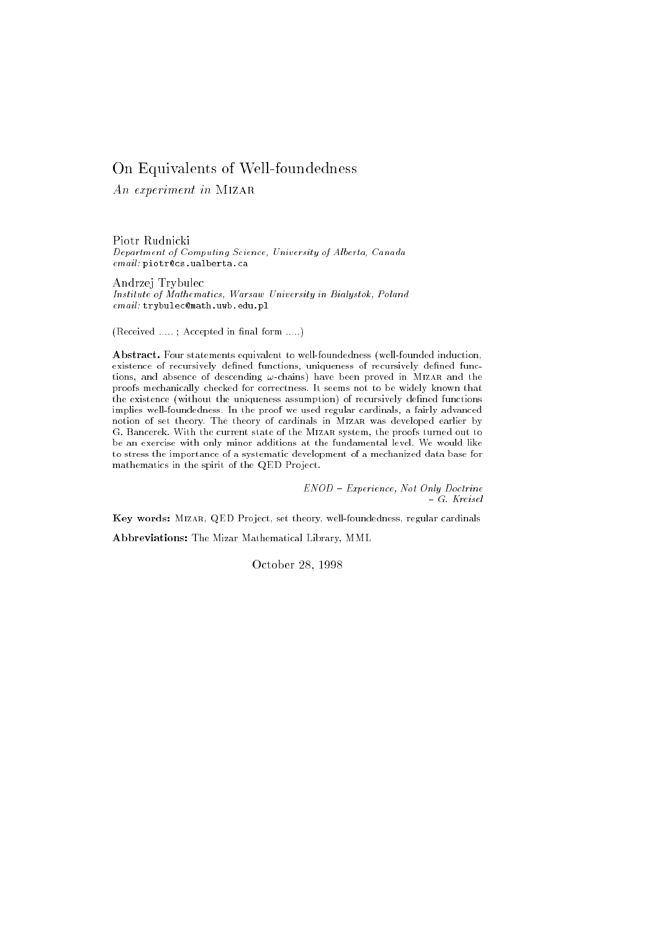# On Equivalents of Well-foundedness

An experiment in Mizar

Piotr Rudnicki Department of Computing Science, University of Alberta, Canada email: piotr@cs.ualberta.ca

Andrzej Trybulec Institute of Mathematics, Warsaw University in Bialystok, Poland email: trybulec@math.uwb.edu.pl

(Received .....; Accepted in final form .....)

Abstract. Four statements equivalent to well-foundedness (well-founded induction, existence of recursively defined functions, uniqueness of recursively defined functions, and absence of descending  $\omega$ -chains) have been proved in MIZAR and the proofs mechanically checked for correctness. It seems not to be widely known that the existence (without the uniqueness assumption) of recursively dened functions implies well-foundedness. In the proof we used regular cardinals, a fairly advanced notion of set theory. The theory of cardinals in Mizar was developed earlier by G. Bancerek. With the current state of the Mizar system, the proofs turned out to be an exercise with only minor additions at the fundamental level. We would like to stress the importance of a systematic development of a mechanized data base for mathematics in the spirit of the QED Project.

> ENOD { Experience, Not Only Doctrine { G. Kreisel

Key words: MIZAR, QED Project, set theory, well-foundedness, regular cardinals

Abbreviations: The Mizar Mathematical Library, MML

October 28, 1998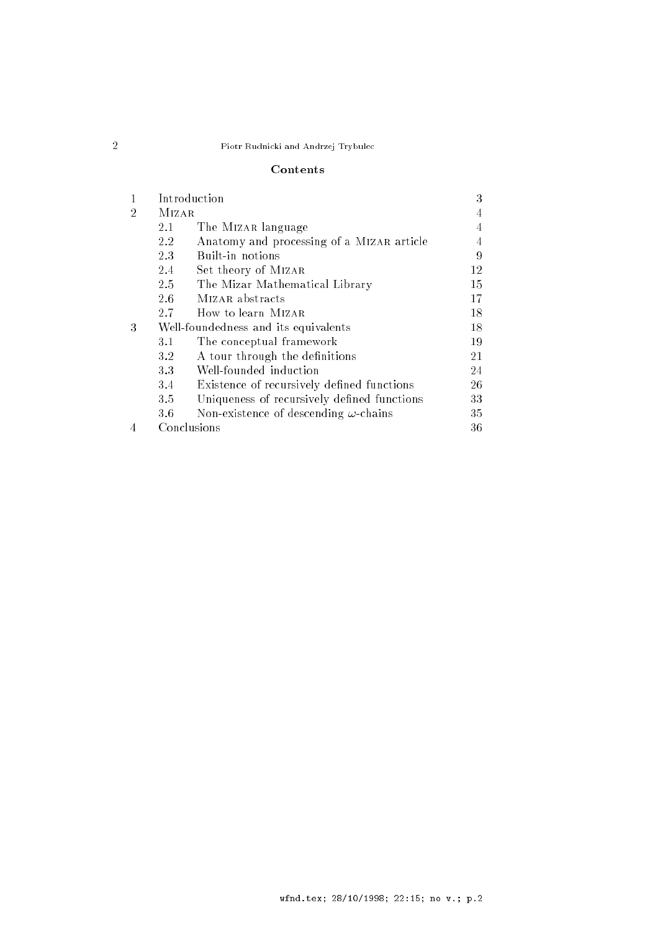# Contents

| 1 | Introduction                         |                                              | 3  |
|---|--------------------------------------|----------------------------------------------|----|
| 2 | <b>MIZAR</b>                         |                                              | 4  |
|   | 2.1                                  | The MIZAR language                           | 4  |
|   | $2.2\,$                              | Anatomy and processing of a MIZAR article    | 4  |
|   | 2.3                                  | Built-in notions                             | 9  |
|   | 2.4                                  | Set theory of MIZAR                          | 12 |
|   | 2.5                                  | The Mizar Mathematical Library               | 15 |
|   | 2.6                                  | MIZAR abstracts                              | 17 |
|   | 2.7                                  | How to learn MIZAR                           | 18 |
| 3 | Well-foundedness and its equivalents |                                              |    |
|   | 3.1                                  | The conceptual framework                     | 19 |
|   | 3.2                                  | A tour through the definitions               | 21 |
|   | 3.3                                  | Well-founded induction                       | 24 |
|   | 3.4                                  | Existence of recursively defined functions   | 26 |
|   | 3.5                                  | Uniqueness of recursively defined functions  | 33 |
|   | 3.6                                  | Non-existence of descending $\omega$ -chains | 35 |
|   | Conclusions                          |                                              | 36 |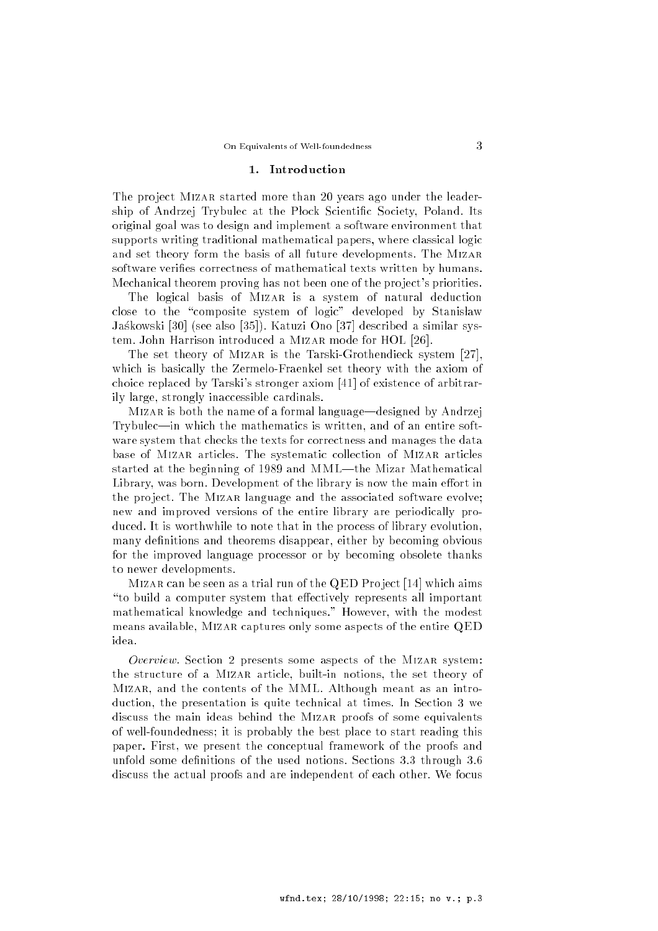#### 1. Introduction

The project MIZAR started more than 20 years ago under the leadership of Andrzej Trybulec at the Plock Scientific Society, Poland. Its original goal was to design and implement a software environment that supports writing traditional mathematical papers, where classical logic and set theory form the basis of all future developments. The Mizar software verifies correctness of mathematical texts written by humans. Mechanical theorem proving has not been one of the pro ject's priorities.

The logical basis of MIZAR is a system of natural deduction close to the "composite system of logic" developed by Stanisław Jaskowski [30] (see also [35]). Katuzi Ono [37] described a similar system. John Harrison introduced a Mizar mode for HOL [26].

The set theory of MIZAR is the Tarski-Grothendieck system [27], which is basically the Zermelo-Fraenkel set theory with the axiom of choice replaced by Tarski's stronger axiom [41] of existence of arbitrarily large, strongly inaccessible cardinals.

MIZAR is both the name of a formal language—designed by Andrzej Trybulec—in which the mathematics is written, and of an entire software system that checks the texts for correctness and manages the data base of Mizar articles. The systematic collection of Mizar articles started at the beginning of 1989 and MML-the Mizar Mathematical Library, was born. Development of the library is now the main effort in the project. The MIZAR language and the associated software evolve; new and improved versions of the entire library are periodically produced. It is worthwhile to note that in the process of library evolution, many definitions and theorems disappear, either by becoming obvious for the improved language processor or by becoming obsolete thanks to newer developments.

Mizar can be seen as a trial run of the QED Pro ject [14] which aims "to build a computer system that effectively represents all important mathematical knowledge and techniques." However, with the modest means available, Mizar captures only some aspects of the entire QED idea.

Overview. Section 2 presents some aspects of the MIZAR system: the structure of a Mizar article, built-in notions, the set theory of Mizar, and the contents of the MML. Although meant as an introduction, the presentation is quite technical at times. In Section 3 we discuss the main ideas behind the Mizar proofs of some equivalents of well-foundedness; it is probably the best place to start reading this paper. First, we present the conceptual framework of the proofs and unfold some definitions of the used notions. Sections 3.3 through 3.6 discuss the actual proofs and are independent of each other. We focus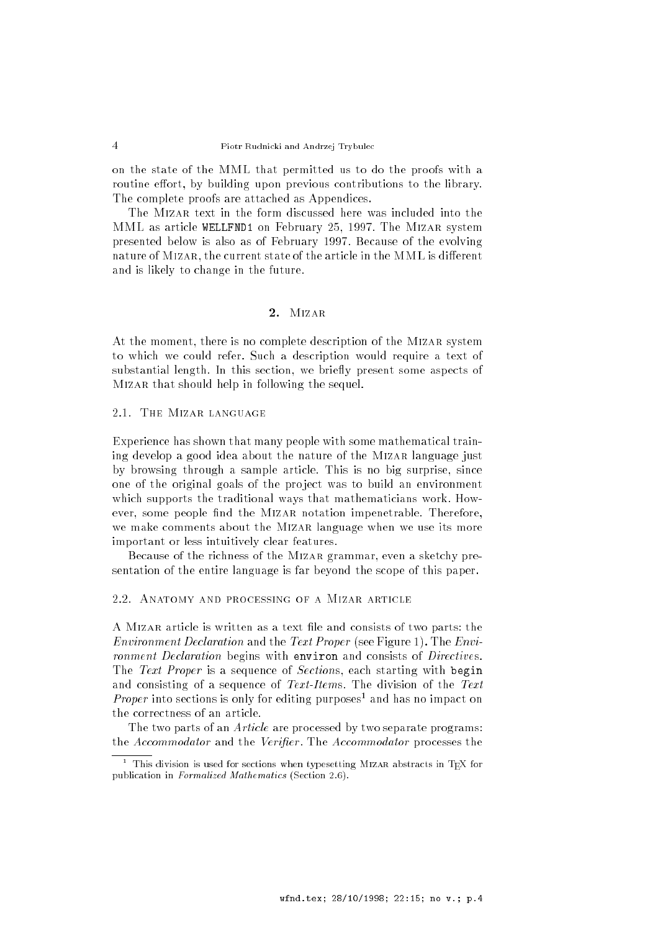on the state of the MML that permitted us to do the proofs with a routine effort, by building upon previous contributions to the library. The complete proofs are attached as Appendices.

The Mizar text in the form discussed here was included into the MML as article WELLFND1 on February 25, 1997. The Mizar system presented below is also as of February 1997. Because of the evolving nature of MIZAR, the current state of the article in the MML is different and is likely to change in the future.

#### 2. Mizar

At the moment, there is no complete description of the Mizar system to which we could refer. Such a description would require a text of substantial length. In this section, we briefly present some aspects of Mizar that should help in following the sequel.

2.1. The Mizar language

Experience has shown that many people with some mathematical training develop a good idea about the nature of the MIZAR language just by browsing through a sample article. This is no big surprise, since one of the original goals of the pro ject was to build an environment which supports the traditional ways that mathematicians work. However, some people find the MIZAR notation impenetrable. Therefore, we make comments about the Mizar language when we use its more important or less intuitively clear features.

Because of the richness of the MIZAR grammar, even a sketchy presentation of the entire language is far beyond the scope of this paper.

#### 2.2. Anatomy and processing of a Mizar article

A MIZAR article is written as a text file and consists of two parts: the Environment Declaration and the Text Proper (see Figure 1). The Environment Declaration begins with environ and consists of Directives. The Text Proper is a sequence of Sections, each starting with begin and consisting of a sequence of Text-Items. The division of the Text *Proper* into sections is only for editing purposes<sup>1</sup> and has no impact on the correctness of an article.

The two parts of an Article are processed by two separate programs: the Accommodator and the Verifier. The Accommodator processes the

This division is used for sections when typesetting MIZAR abstracts in TEX for publication in Formalized Mathematics (Section 2.6).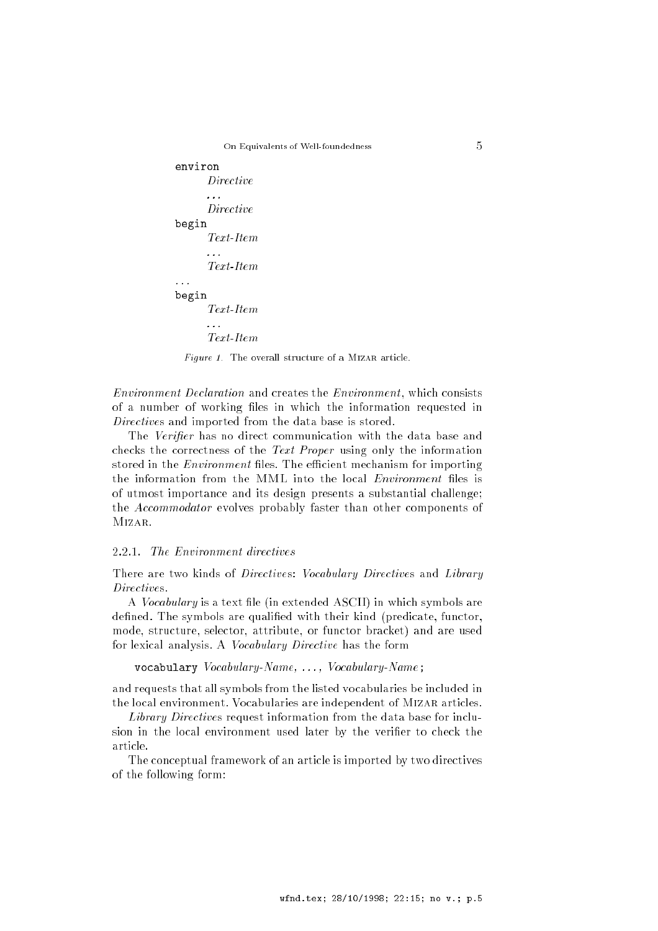```
environ
      DirectineDirective
begin
      Text-Item
      Text-Item
begin
      Text-Item
      \mathbb{R}^2Text-Item
```
 $Figure 1$ . The overall structure of a MIZAR article.

Environment Declaration and creates the Environment, which consists of a number of working files in which the information requested in Directives and imported from the data base is stored.

The Verifier has no direct communication with the data base and checks the correctness of the Text Proper using only the information stored in the *Environment* files. The efficient mechanism for importing the information from the MML into the local *Environment* files is of utmost importance and its design presents a substantial challenge; the Accommodator evolves probably faster than other components of Mizar.

### 2.2.1. The Environment directives

There are two kinds of *Directives: Vocabulary Directives* and *Library* Directives.

A *Vocabulary* is a text file (in extended ASCII) in which symbols are defined. The symbols are qualified with their kind (predicate, functor, mode, structure, selector, attribute, or functor bracket) and are used for lexical analysis. A Vocabulary Directive has the form

vocabulary Vocabulary-Name, ..., Vocabulary-Name;

and requests that all symbols from the listed vocabularies be included in the local environment. Vocabularies are independent of MIZAR articles.

Library Directives request information from the data base for inclusion in the local environment used later by the verifier to check the article.

The conceptual framework of an article is imported by two directives of the following form: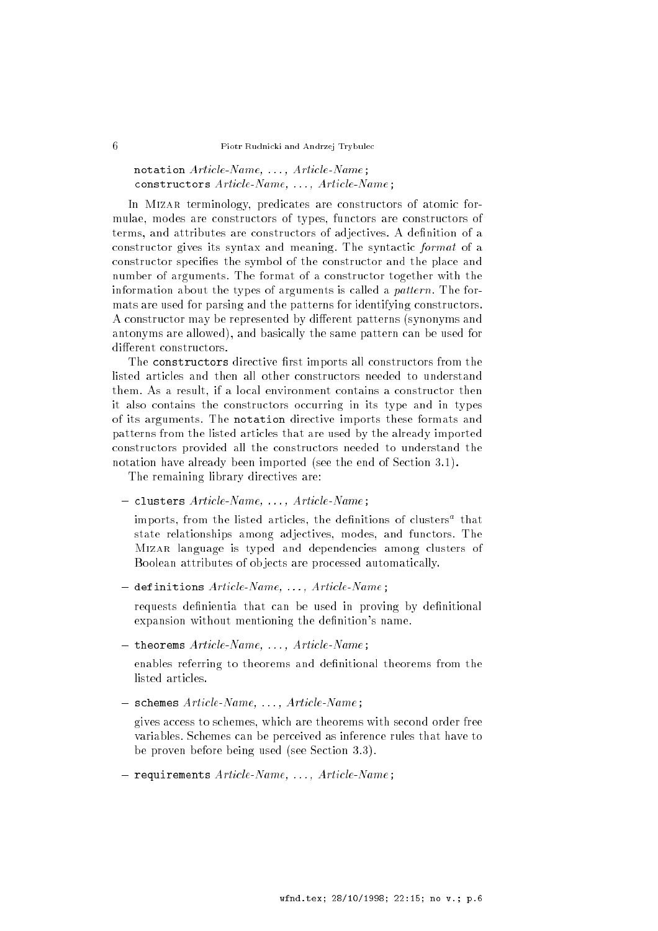# notation Article-Name, ..., Article-Name; constructors Article-Name, . . . , Article-Name;

In MIZAR terminology, predicates are constructors of atomic formulae, modes are constructors of types, functors are constructors of terms, and attributes are constructors of adjectives. A definition of a constructor gives its syntax and meaning. The syntactic format of a constructor specifies the symbol of the constructor and the place and number of arguments. The format of a constructor together with the information about the types of arguments is called a pattern. The formats are used for parsing and the patterns for identifying constructors. A constructor may be represented by different patterns (synonyms and antonyms are allowed), and basically the same pattern can be used for different constructors.

The constructors directive first imports all constructors from the listed articles and then all other constructors needed to understand them. As a result, if a local environment contains a constructor then it also contains the constructors occurring in its type and in types of its arguments. The notation directive imports these formats and patterns from the listed articles that are used by the already imported constructors provided all the constructors needed to understand the notation have already been imported (see the end of Section 3.1).

The remaining library directives are:

clusters Article-Name, . . . , Article-Name;

imports, from the fisted articles, the definitions of clusters" that state relationships among adjectives, modes, and functors. The Mizar language is typed and dependencies among clusters of Boolean attributes of ob jects are processed automatically.

definitions are an extended the second article of the second article of the second second second second second

requests definientia that can be used in proving by definitional expansion without mentioning the definition's name.

theorems Article-Name, . . . , Article-Name;

enables referring to theorems and definitional theorems from the listed articles.

schemes Article-Name, . . . , Article-Name;

gives access to schemes, which are theorems with second order free variables. Schemes can be perceived as inference rules that have to be proven before being used (see Section 3.3).

requirements Article-Name, . . . , Article-Name;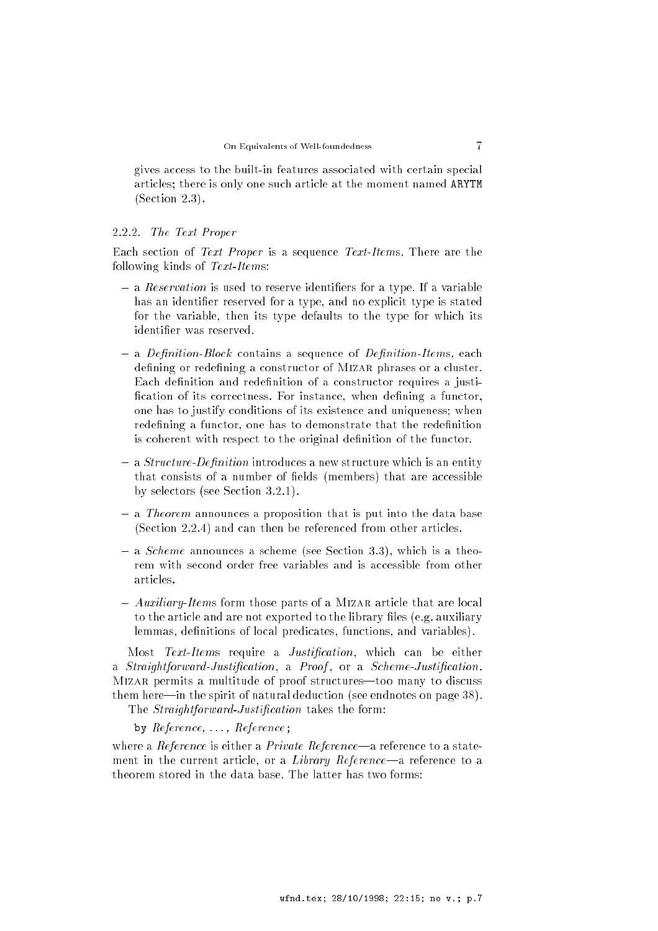gives access to the built-in features associated with certain special articles; there is only one such article at the moment named ARYTM (Section 2.3).

#### 2.2.2. The Text Proper

Each section of Text Proper is a sequence Text-Items. There are the following kinds of Text-Items:

- a Reservation is used to reserve in the serve in the server of a type. If a variable in has an identifier reserved for a type, and no explicit type is stated for the variable, then its type defaults to the type for which its identifier was reserved.
- a Deputation-Block contains a sequence of Deputation-Items, each defining or redefining a constructor of MIZAR phrases or a cluster. Each definition and redefinition of a constructor requires a justification of its correctness. For instance, when defining a functor, one has to justify conditions of its existence and uniqueness; when redefining a functor, one has to demonstrate that the redefinition is coherent with respect to the original definition of the functor.
- a structure-Departure-Denition introduces a new structure which is an entity for an entity that consists of a number of fields (members) that are accessible by selectors (see Section 3.2.1).
- a Theorem and the theorem and proposition that is put into the data base of (Section 2.2.4) and can then be referenced from other articles.
- a Scheme announces a scheme (see Section 3.3), which is a theorem with second order free variables and is accessible from other articles.
- Auxiliary-Items form those parts of a Mizar article that are local to the article and are not exported to the library files (e.g. auxiliary lemmas, definitions of local predicates, functions, and variables).

Most Text-Items require a Justification, which can be either a Straightforward-Justification, a Proof, or a Scheme-Justification. MIZAR permits a multitude of proof structures-too many to discuss them here—in the spirit of natural deduction (see endnotes on page  $38$ ). The *Straightforward-Justification* takes the form:

by  $Reference, \ldots, Reference;$ 

where a Reference is either a Private Reference—a reference to a statement in the current article, or a *Library Reference*—a reference to a theorem stored in the data base. The latter has two forms: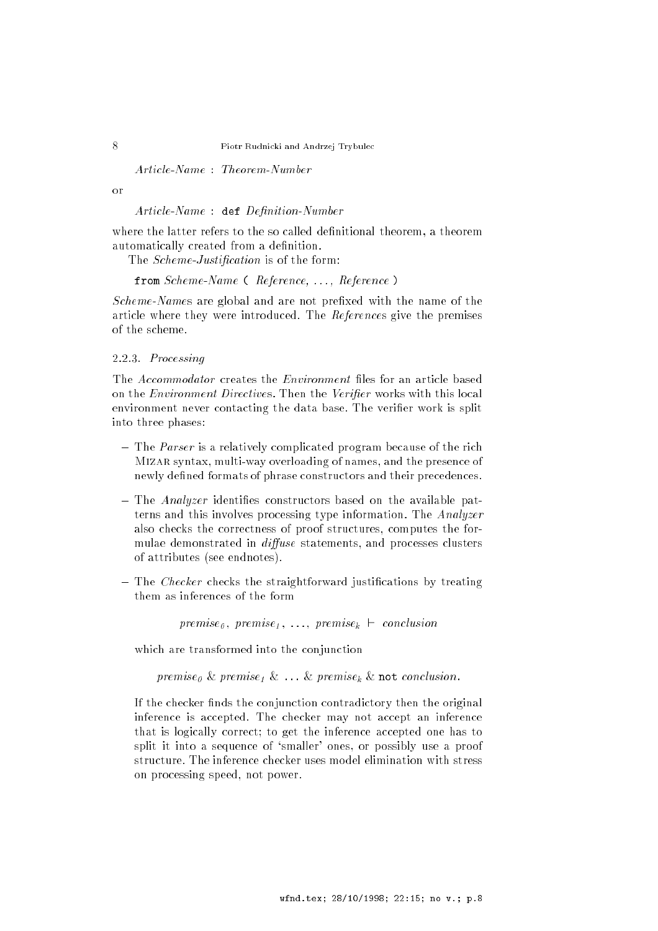Article-Name : Theorem-Number

 $\alpha$ r

Article-Name : def Definition-Number

where the latter refers to the so called definitional theorem, a theorem automatically created from a definition.

The *Scheme-Justification* is of the form:

from Scheme-Name (Reference, ..., Reference)

Scheme-Names are global and are not prefixed with the name of the article where they were introduced. The References give the premises of the scheme.

# 2.2.3. Processing

The *Accommodator* creates the *Environment* files for an article based on the *Environment Directives*. Then the *Verifier* works with this local environment never contacting the data base. The verifier work is split into three phases:

- The Parser is a relatively complicated program because of the rich Mizar syntax, multi-way overloading of names, and the presence of newly defined formats of phrase constructors and their precedences.
- The Analyzer identies constructors based on the available patterns and this involves processing type information. The Analyzer also checks the correctness of proof structures, computes the formulae demonstrated in *diffuse* statements, and processes clusters of attributes (see endnotes).
- The Checker checks the straightforward justications by treating them as inferences of the form

 $premise_{\theta}$ ,  $premise_{\theta}$ ,  $\dots$ ,  $premise_{k}$   $\vdash$  conclusion

which are transformed into the conjunction

premise<sub>0</sub> & premise<sub>1</sub> & ... & premise<sub>k</sub> & not conclusion.

If the checker finds the conjunction contradictory then the original inference is accepted. The checker may not accept an inference that is logically correct; to get the inference accepted one has to split it into a sequence of `smaller' ones, or possibly use a proof structure. The inference checker uses model elimination with stress on processing speed, not power.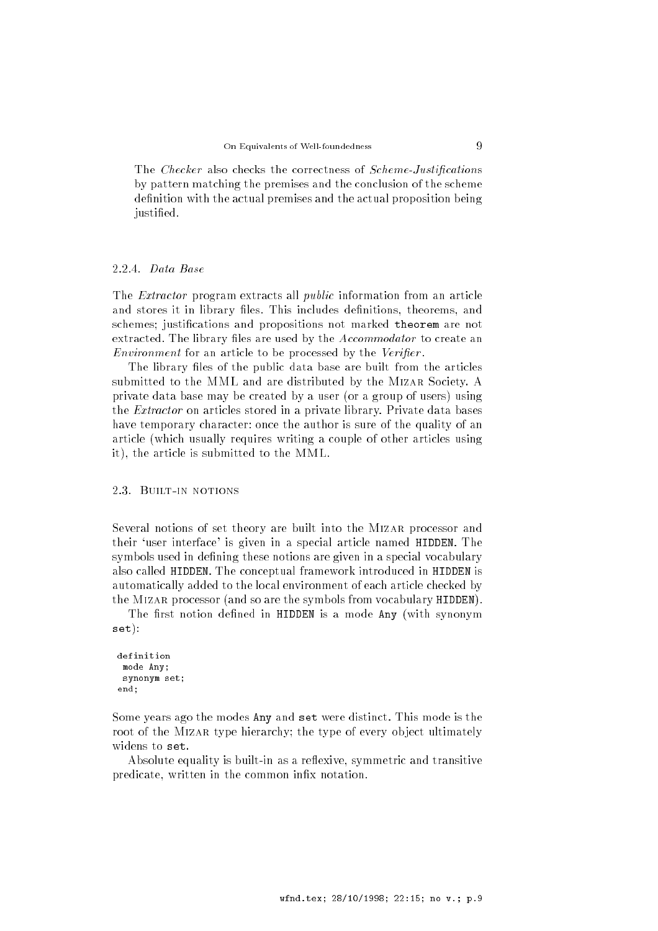The Checker also checks the correctness of Scheme-Justifications by pattern matching the premises and the conclusion of the scheme definition with the actual premises and the actual proposition being justified.

#### 2.2.4. Data Base

The *Extractor* program extracts all *public* information from an article and stores it in library files. This includes definitions, theorems, and schemes; justications and propositions not marked theorem are not extracted. The library files are used by the Accommodator to create an Environment for an article to be processed by the Verifier.

The library files of the public data base are built from the articles submitted to the MML and are distributed by the Mizar Society. A private data base may be created by a user (or a group of users) using the Extractor on articles stored in a private library. Private data bases have temporary character: once the author is sure of the quality of an article (which usually requires writing a couple of other articles using it), the article is submitted to the MML.

### 2.3. Built-in notions

Several notions of set theory are built into the MIZAR processor and their `user interface' is given in a special article named HIDDEN. The symbols used in defining these notions are given in a special vocabulary also called HIDDEN. The conceptual framework introduced in HIDDEN is automatically added to the local environment of each article checked by the Mizar processor (and so are the symbols from vocabulary HIDDEN).

The first notion defined in HIDDEN is a mode Any (with synonym set):

```
definition
 mode Any;
 synonym set;
end:
end;
```
Some years ago the modes Any and set were distinct. This mode is the root of the MIZAR type hierarchy; the type of every object ultimately widens to set.

Absolute equality is built-in as a reflexive, symmetric and transitive predicate, written in the common infix notation.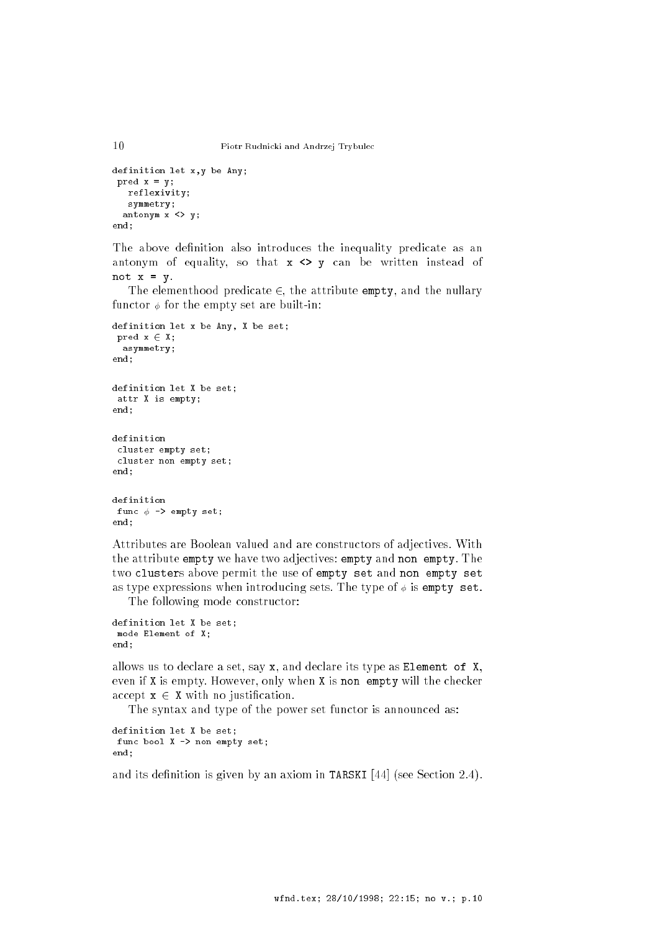```
definition let x,y be Any;
 pred x = y;reflexivity;
   symmetry;
  antonym x \leftrightarrow y;
end;
```
The above definition also introduces the inequality predicate as an antonym of equality, so that  $x \Leftrightarrow y$  can be written instead of not  $x = y$ .

The elementhood predicate  $\in$ , the attribute empty, and the nullary functor  $\phi$  for the empty set are built-in:

```
definition let x be Any, X be set;
  pred x \in X;
    .<br>asymmetry;
end;
definition let X be set;
  attr X is empty;
end;
definition
  cluster empty set;
  cluster non empty set;
end:
 end; and the second second second second second second second second second second second second second second second second second second second second second second second second second second second second second second
definition
  func \phi \rightarrow empty set;
end:end;
```
Attributes are Boolean valued and are constructors of adjectives. With the attribute empty we have two adjectives: empty and non empty. The two clusters above permit the use of empty set and non empty set as type expressions when introducing sets. The type of  $\phi$  is empty set.

The following mode constructor:

```
definition let X be set;
mode Element of X;
end;
```
allows us to declare a set, say x, and declare its type as Element of X, even if X is empty. However, only when X is non empty will the checker accept  $x \in X$  with no justification.

The syntax and type of the power set functor is announced as:

```
definition let X be set;
 func bool X -> non empty set;
end:
end;
```
and its definition is given by an axiom in TARSKI  $[44]$  (see Section 2.4).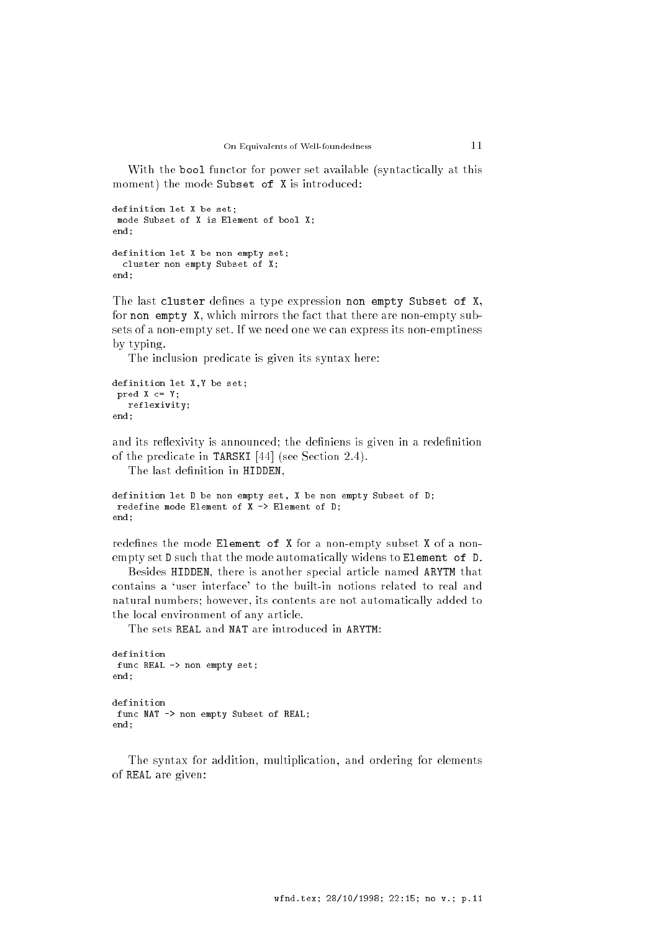With the bool functor for power set available (syntactically at this moment) the mode Subset of X is introduced:

```
definition let X be set;
  mode Subset of X is Element of bool X;
end:
 end; and the second second second second second second second second second second second second second second second second second second second second second second second second second second second second second second
definition let X be non empty set;
    cluster non empty Subset of X;
end:
 end;
```
The last cluster defines a type expression non empty Subset of X, for non empty X, which mirrors the fact that there are non-empty subsets of a non-empty set. If we need one we can express its non-emptiness by typing.

The inclusion predicate is given its syntax here:

```
definition let X,Y be set;
 pred X c= Y;
  reflexivity;
end:
end;
```
and its reflexivity is announced; the definiens is given in a redefinition of the predicate in TARSKI [44] (see Section 2.4).

The last definition in HIDDEN,

```
definition let D be non empty set, X be non empty Subset of D;
 redefine mode Element of X \rightarrow Element of D;
end:
end;
```
redefines the mode Element of X for a non-empty subset X of a nonempty set D such that the mode automatically widens to Element of D.

Besides HIDDEN, there is another special article named ARYTM that contains a `user interface' to the built-in notions related to real and natural numbers; however, its contents are not automatically added to the local environment of any article.

The sets REAL and NAT are introduced in ARYTM:

```
definition
func REAL -> non empty set;
end;
definition
func NAT -> non empty Subset of REAL;
end:end;
```
The syntax for addition, multiplication, and ordering for elements of REAL are given: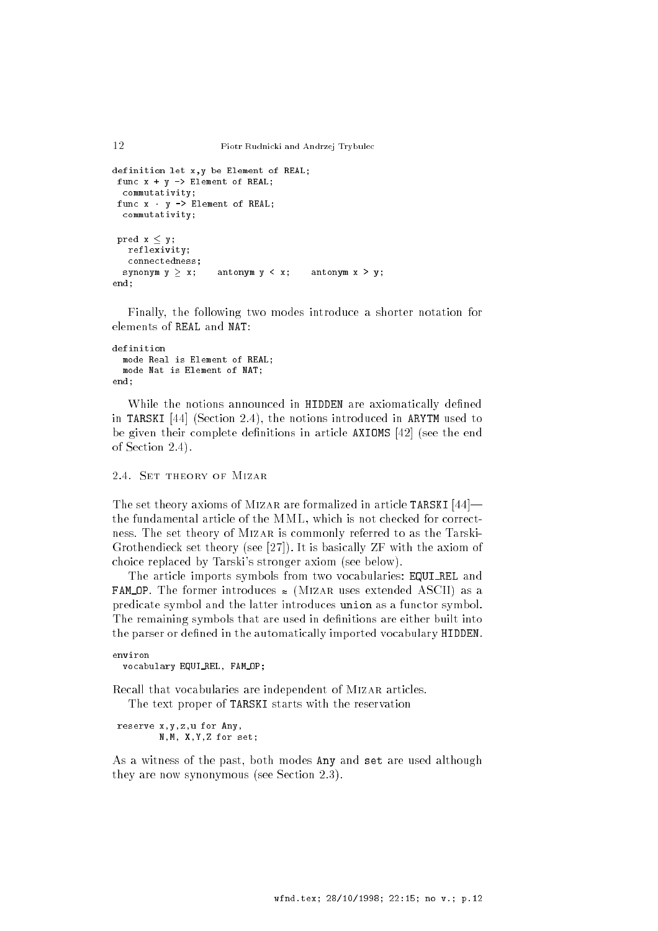```
12 Piotr Rudnicki and Andrzej Trybulec
definition let x,y be Element of REAL;
 func x + y -> Element of REAL;
  commutativity;
 func x - y \rightarrow Element of REAL;
 commutativity;
 pred x \leq y;
  reflexivity;
  connectedness;
  synonym y \ge x; antonym y \le x; antonym x \ge y;
end;
```
Finally, the following two modes introduce a shorter notation for elements of REAL and NAT:

#### definition mode Real is Element of REAL; mode Nat is Element of NAT; end;

While the notions announced in HIDDEN are axiomatically defined in TARSKI [44] (Section 2.4), the notions introduced in ARYTM used to be given their complete definitions in article  $AXIOMS$  [42] (see the end of Section 2.4).

### 2.4. SET THEORY OF MIZAR

The set theory axioms of MIZAR are formalized in article TARSKI  $[44]$  the fundamental article of the MML, which is not checked for correctness. The set theory of Mizar is commonly referred to as the Tarski-Grothendieck set theory (see [27]). It is basically ZF with the axiom of choice replaced by Tarski's stronger axiom (see below).

The article imports symbols from two vocabularies: EQUI REL and **FAM OP.** The former introduces  $\approx$  (MIZAR uses extended ASCII) as a predicate symbol and the latter introduces union as a functor symbol. The remaining symbols that are used in definitions are either built into the parser or defined in the automatically imported vocabulary HIDDEN.

```
environ
 vocabulary EQUI REL, FAM OP;
```
Recall that vocabularies are independent of MIZAR articles.

The text proper of TARSKI starts with the reservation

```
reserve x,y,z,u for Any,
        N,M, X,Y,Z for set;
```
As a witness of the past, both modes Any and set are used although they are now synonymous (see Section 2.3).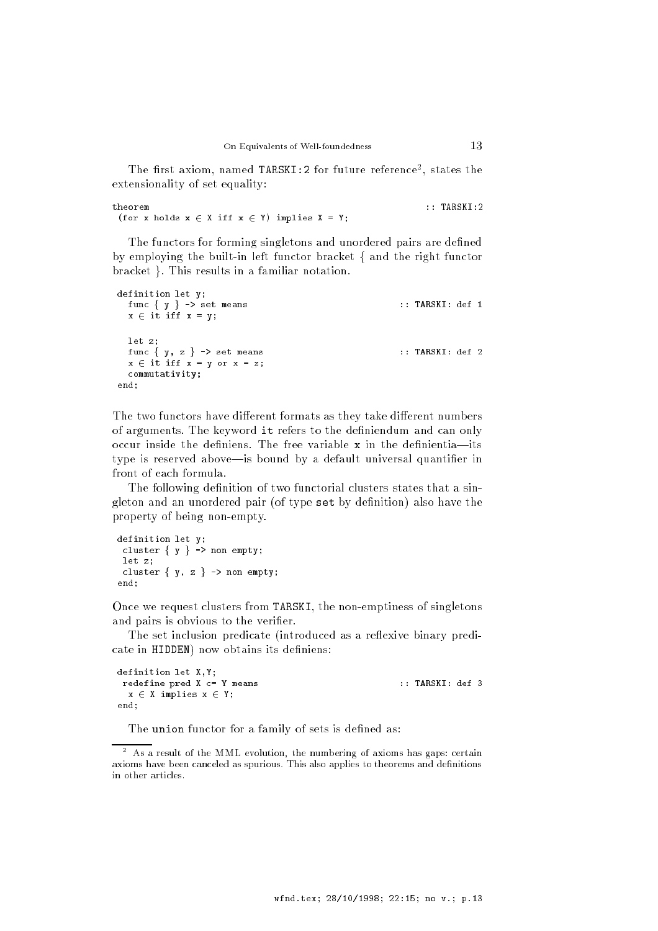The first axiom, named TARSKI:2 for future reference<sup>2</sup>, states the extensionality of set equality:

theorem (for x holds  $x \in X$  iff  $x \in Y$ ) implies  $X = Y$ ;

The functors for forming singletons and unordered pairs are defined by employing the built-in left functor bracket  $\{$  and the right functor bracket }. This results in a familiar notation.

```
definition let y;
 func \{ y \} -> set means :: TARSKI: def 1
 x \in it iff x = y;
 let z;
 func \{ y, z \} -> set means :: TARSKI: def 2
 x \in \text{it iff } x = y \text{ or } x = z;commutativity;
end;
```
The two functors have different formats as they take different numbers of arguments. The keyword it refers to the definiendum and can only occur inside the definiens. The free variable  $x$  in the definientia-its type is reserved above—is bound by a default universal quantifier in front of each formula.

The following definition of two functorial clusters states that a singleton and an unordered pair (of type set by definition) also have the property of being non-empty.

```
definition let y;
 cluster \{ y \} -> non empty;
 let z;
 cluster \{ y, z \} \rightarrow \text{non empty};end;
```
Once we request clusters from TARSKI, the non-emptiness of singletons and pairs is obvious to the verifier.

The set inclusion predicate (introduced as a reflexive binary predicate in HIDDEN) now obtains its definiens:

```
definition let X,Y;
  redefine pred X c= Y means :: TARSKI: def 3
    x \in X implies x \in Y;
end:
 end; and the contract of the contract of the contract of the contract of the contract of the contract of the contract of the contract of the contract of the contract of the contract of the contract of the contract of the c
```
The union functor for a family of sets is defined as:

<sup>2</sup> As a result of the MML evolution, the numbering of axioms has gaps: certain axioms have been canceled as spurious. This also applies to theorems and definitions in other articles.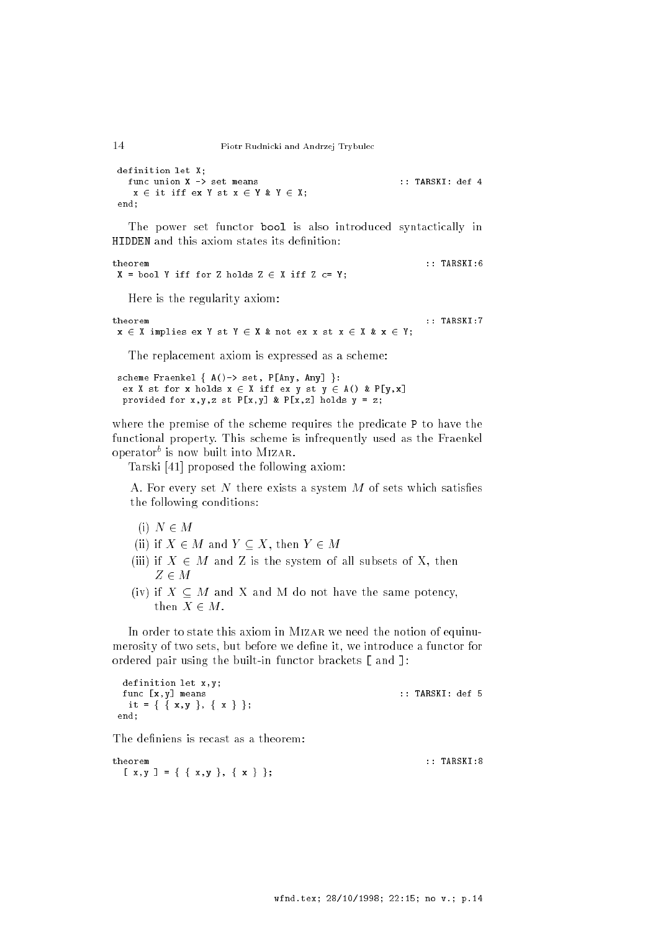```
definition let X;
     func union X -> set means :: TARSKI: def 4
       x \in \text{it iff } \text{ex } Y \text{ st } x \in Y \text{ } \& \text{ } Y \in X;end:end; and the contract of the contract of the contract of the contract of the contract of the contract of the contract of the contract of the contract of the contract of the contract of the contract of the contract of the c
```
The power set functor bool is also introduced syntactically in HIDDEN and this axiom states its definition:

theorem  $\cdots$  book  $\cdots$  and  $\cdots$  if  $\cdots$  if  $\cdots$   $\cdots$   $\cdots$   $\cdots$   $\cdots$   $\cdots$   $\cdots$ 

Here is the regularity axiom:

```
theorem
 x \in X implies ex Y st Y \in X & not ex x st x \in X & x \in Y;
```
The replacement axiom is expressed as a scheme:

scheme Fraenkel  $\{ A() \rightarrow set, P[Any, Any] \}$ : ex X st for x holds  $x \in X$  iff ex y st  $y \in A()$  & P[y,x] provided for  $x,y,z$  st  $P[x,y]$  &  $P[x,z]$  holds  $y = z$ ;

where the premise of the scheme requires the predicate P to have the functional property. This scheme is infrequently used as the Fraenkel operator is now built into MIZAR.

Tarski [41] proposed the following axiom:

A. For every set  $N$  there exists a system  $M$  of sets which satisfies the following conditions:

- (i)  $N \in M$
- (ii) if  $X \in M$  and  $Y \subseteq X$ , then  $Y \in M$
- (iii) if  $X \in M$  and Z is the system of all subsets of X, then  $-$
- (iv) if  $X \subseteq M$  and X and M do not have the same potency, then  $X \in M$ .

In order to state this axiom in MIZAR we need the notion of equinumerosity of two sets, but before we define it, we introduce a functor for ordered pair using the built-in functor brackets [ and ]:

```
definition let x,y;
func [x,y] means :: TARSKI: def 5
 it = { { x, y }, { x } };
end;
```
The definiens is recast as a theorem:

theorem  $\mathbb{R}$  and  $\mathbb{R}$  in the function of  $\mathbb{R}$  in the function of  $\mathbb{R}$  in the function of  $\mathbb{R}$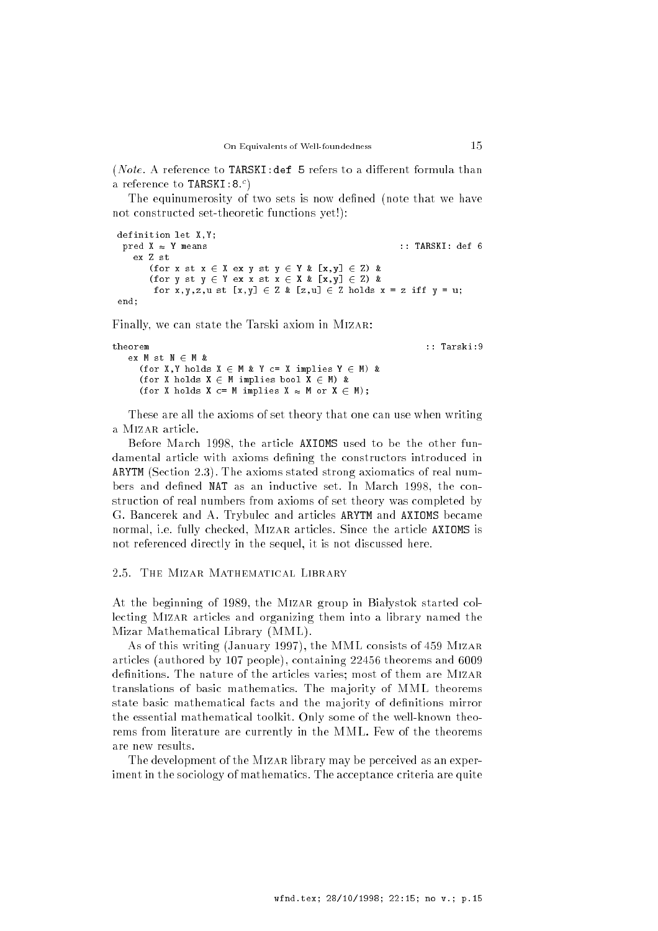(*Note*. A reference to TARSKI: def 5 refers to a different formula than a reference to **TARSKI:8.**7

The equinumerosity of two sets is now defined (note that we have not constructed set-theoretic functions yet!):

```
definition let X,Y;
\text{pred } X \approx Y \text{ means } :: TARSKI: def 6
   ex Z st
      (for x \leq x \leq x ex y st y \in Y \& [x,y] \in Z) &
      (for y st y \in Y ex x st x \in X & [x,y] \in Z) &
       for x, y, z, u st [x, y] \in Z \& [z, u] \in Z holds x = z iff y = u;
end;
```
Finally, we can state the Tarski axiom in Mizar:

```
theorem :: Tarski:9
  ex M st M \in M &
    (for X, Y holds X \in M & Y c= X implies Y \in M) &
    (for X holds X \in M implies bool X \in M) &
    (for X holds X c= M implies X \approx M or X \in M);
```
These are all the axioms of set theory that one can use when writing a Mizar article.

Before March 1998, the article AXIOMS used to be the other fundamental article with axioms defining the constructors introduced in ARYTM (Section 2.3). The axioms stated strong axiomatics of real numbers and defined NAT as an inductive set. In March 1998, the construction of real numbers from axioms of set theory was completed by G. Bancerek and A. Trybulec and articles ARYTM and AXIOMS became normal, i.e. fully checked, Mizar articles. Since the article AXIOMS is not referenced directly in the sequel, it is not discussed here.

#### 2.5. The Mizar Mathematical Library

At the beginning of 1989, the MIZAR group in Białystok started collecting Mizar articles and organizing them into a library named the Mizar Mathematical Library (MML).

As of this writing (January 1997), the MML consists of 459 Mizar articles (authored by 107 people), containing 22456 theorems and 6009 definitions. The nature of the articles varies; most of them are MIZAR translations of basic mathematics. The ma jority of MML theorems state basic mathematical facts and the majority of definitions mirror the essential mathematical toolkit. Only some of the well-known theorems from literature are currently in the MML. Few of the theorems are new results.

The development of the Mizar library may be perceived as an experiment in the sociology of mathematics. The acceptance criteria are quite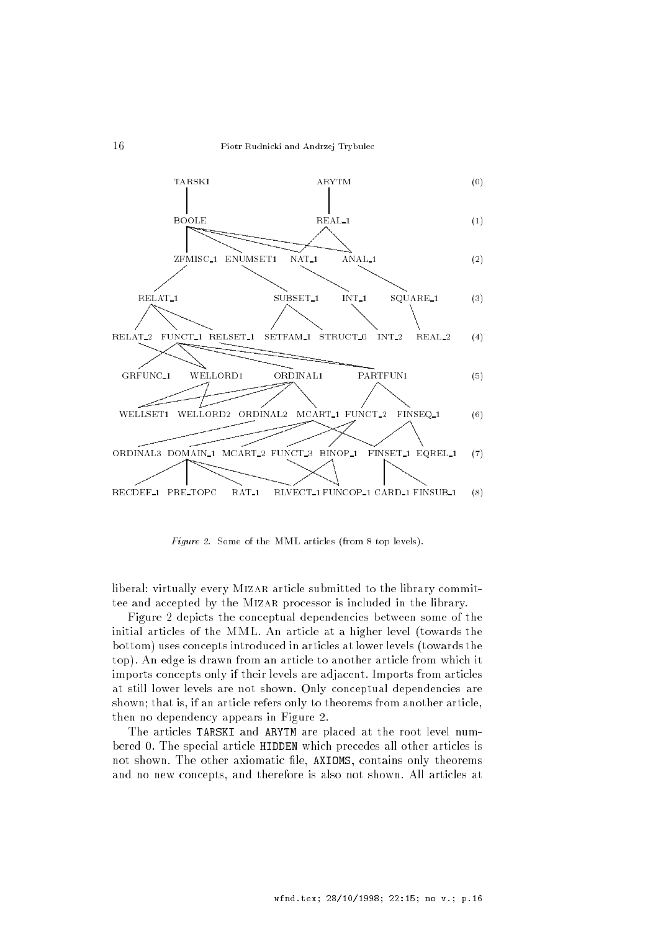

Figure 2. Some of the MML articles (from 8 top levels).

liberal: virtually every MIZAR article submitted to the library committee and accepted by the MIZAR processor is included in the library.

Figure 2 depicts the conceptual dependencies between some of the initial articles of the MML. An article at a higher level (towards the bottom) uses concepts introduced in articles at lower levels (towards the top). An edge is drawn from an article to another article from which it imports concepts only if their levels are adjacent. Imports from articles at still lower levels are not shown. Only conceptual dependencies are shown; that is, if an article refers only to theorems from another article, then no dependency appears in Figure 2.

The articles TARSKI and ARYTM are placed at the root level numbered 0. The special article HIDDEN which precedes all other articles is not shown. The other axiomatic file, AXIOMS, contains only theorems and no new concepts, and therefore is also not shown. All articles at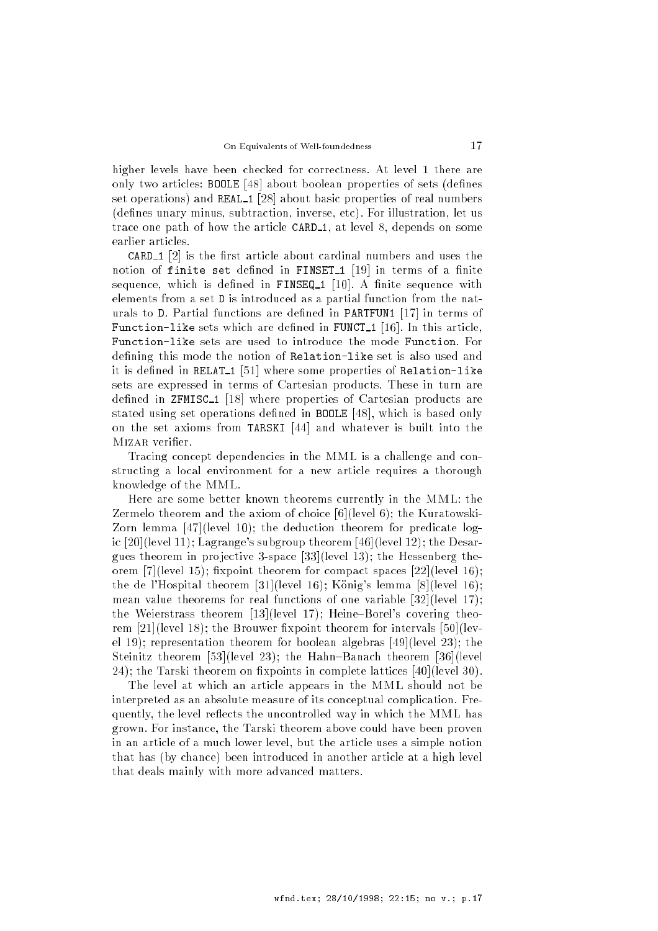higher levels have been checked for correctness. At level 1 there are only two articles: BOOLE [48] about boolean properties of sets (defines set operations) and REAL\_1 [28] about basic properties of real numbers (denes unary minus, subtraction, inverse, etc). For illustration, let us trace one path of how the article CARD<sub>1</sub>, at level 8, depends on some earlier articles.

**CARD<sub>1</sub>** [2] is the first article about cardinal numbers and uses the notion of finite set defined in FINSET<sub>1</sub> [19] in terms of a finite sequence, which is defined in FINSEQ<sub>1</sub> [10]. A finite sequence with elements from a set D is introduced as a partial function from the naturals to D. Partial functions are dened in PARTFUN1 [17] in terms of Function-like sets which are defined in FUNCT<sub>1</sub> [16]. In this article, Function-like sets are used to introduce the mode Function. For defining this mode the notion of Relation-like set is also used and it is defined in RELAT<sub>1</sub> [51] where some properties of Relation-like sets are expressed in terms of Cartesian products. These in turn are defined in ZFMISC<sub>1</sub> [18] where properties of Cartesian products are stated using set operations defined in **BOOLE** [48], which is based only on the set axioms from TARSKI [44] and whatever is built into the MIZAR verifier.

Tracing concept dependencies in the MML is a challenge and constructing a local environment for a new article requires a thorough knowledge of the MML.

Here are some better known theorems currently in the MML: the Zermelo theorem and the axiom of choice [6](level 6); the Kuratowski-Zorn lemma [47](level 10); the deduction theorem for predicate logic [20](level 11); Lagrange's subgroup theorem [46](level 12); the Desargues theorem in projective 3-space  $[33]$ (level 13); the Hessenberg theorem [7](level 15); fixpoint theorem for compact spaces  $[22]$ (level 16); the de l'Hospital theorem [31](level 16); König's lemma [8](level 16); mean value theorems for real functions of one variable [32](level 17); the Weierstrass theorem  $[13]$ (level 17); Heine-Borel's covering theorem  $[21]$ (level 18); the Brouwer fixpoint theorem for intervals  $[50]$ (level 19); representation theorem for boolean algebras [49](level 23); the Steinitz theorem [53](level 23); the Hahn-Banach theorem [36](level 24); the Tarski theorem on fixpoints in complete lattices [40](level 30).

The level at which an article appears in the MML should not be interpreted as an absolute measure of its conceptual complication. Frequently, the level reflects the uncontrolled way in which the MML has grown. For instance, the Tarski theorem above could have been proven in an article of a much lower level, but the article uses a simple notion that has (by chance) been introduced in another article at a high level that deals mainly with more advanced matters.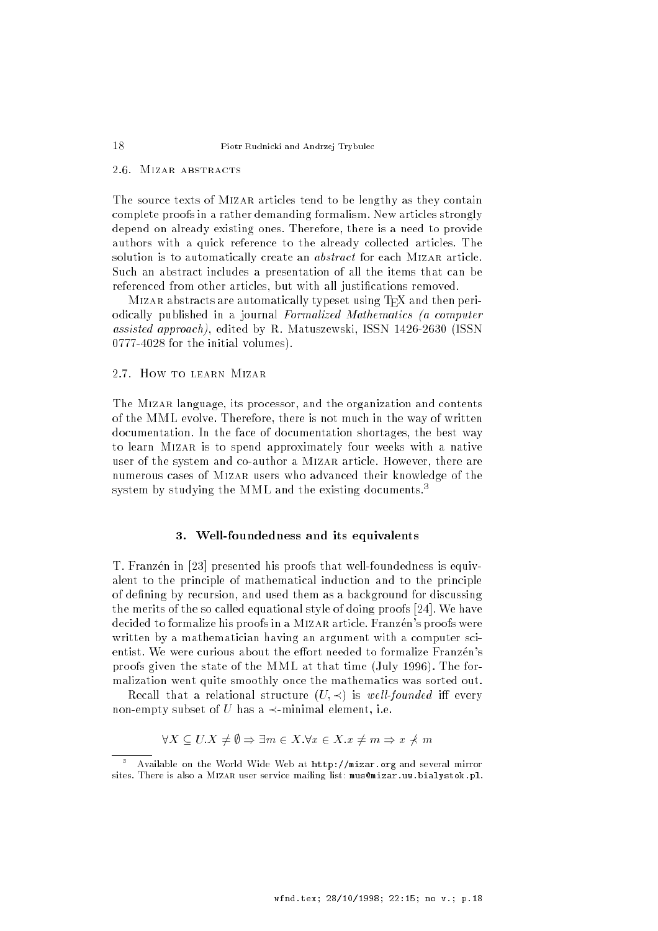# 2.6. Mizar abstracts

The source texts of MIZAR articles tend to be lengthy as they contain complete proofs in a rather demanding formalism. New articles strongly depend on already existing ones. Therefore, there is a need to provide authors with a quick reference to the already collected articles. The solution is to automatically create an *abstract* for each MIZAR article. Such an abstract includes a presentation of all the items that can be referenced from other articles, but with all justifications removed.

MIZAR abstracts are automatically typeset using T<sub>E</sub>X and then periodically published in a journal Formalized Mathematics (a computer assisted approach), edited by R. Matuszewski, ISSN 1426-2630 (ISSN 0777-4028 for the initial volumes).

# 2.7. How to learn Mizar

The Mizar language, its processor, and the organization and contents of the MML evolve. Therefore, there is not much in the way of written documentation. In the face of documentation shortages, the best way to learn Mizar is to spend approximately four weeks with a native user of the system and co-author a MIZAR article. However, there are numerous cases of Mizar users who advanced their knowledge of the system by studying the MML and the existing documents.<sup>3</sup>

#### 3. Well-foundedness and its equivalents

T. Franzén in [23] presented his proofs that well-foundedness is equivalent to the principle of mathematical induction and to the principle of defining by recursion, and used them as a background for discussing the merits of the so called equational style of doing proofs [24]. We have decided to formalize his proofs in a MIZAR article. Franzen's proofs were written by a mathematician having an argument with a computer scientist. We were curious about the effort needed to formalize Franzén's proofs given the state of the MML at that time (July 1996). The formalization went quite smoothly once the mathematics was sorted out.

Recall that a relational structure  $(U, \prec)$  is well-founded iff every non-empty subset of U has a  $\prec$ -minimal element, i.e.

$$
\forall X \subseteq U. X \neq \emptyset \Rightarrow \exists m \in X. \forall x \in X. x \neq m \Rightarrow x \neq m
$$

Available on the World Wide Web at http://mizar.org and several mirror sites. There is also a MIZAR user service mailing list: mus@mizar.uw.bialystok.pl.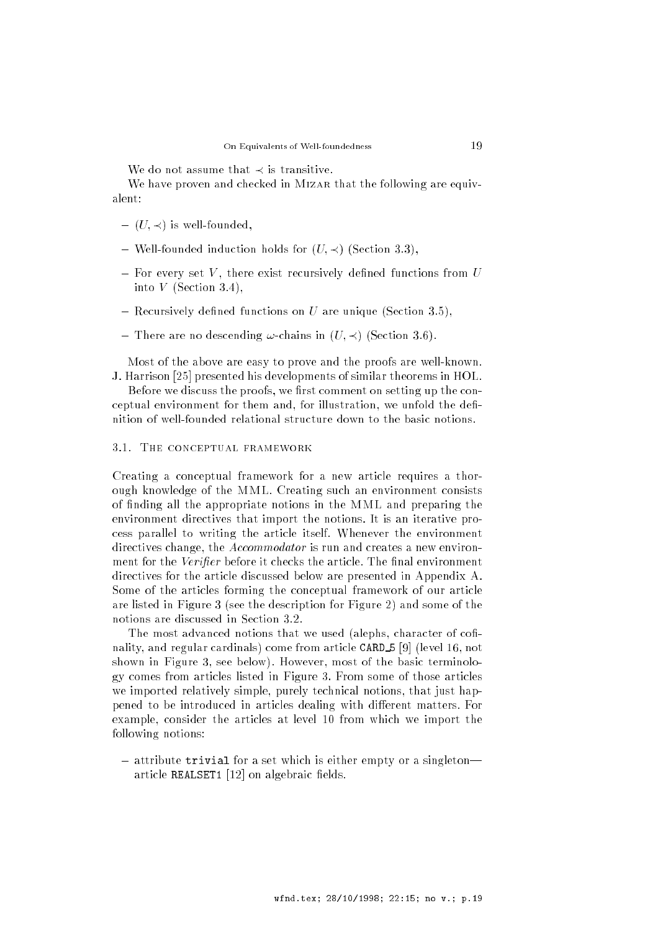We do not assume that  $\prec$  is transitive.

We have proven and checked in MIZAR that the following are equivalent:

- $\cup$  is a is well-founded, we have the found of  $\cup$
- Well-founded induction holds for (U; ) (Section 3.3),
- For every set <sup>V</sup> , there exist recursively dened functions from <sup>U</sup> into  $V$  (Section 3.4),
- Recursively dened functions on <sup>U</sup> are unique (Section 3.5),
- There are no descending !-chains in (U; ) (Section 3.6).

Most of the above are easy to prove and the proofs are well-known. J. Harrison [25] presented his developments of similar theorems in HOL.

Before we discuss the proofs, we first comment on setting up the conceptual environment for them and, for illustration, we unfold the definition of well-founded relational structure down to the basic notions.

#### 3.1. The conceptual framework

Creating a conceptual framework for a new article requires a thorough knowledge of the MML. Creating such an environment consists of nding all the appropriate notions in the MML and preparing the environment directives that import the notions. It is an iterative process parallel to writing the article itself. Whenever the environment directives change, the *Accommodator* is run and creates a new environment for the Verifier before it checks the article. The final environment directives for the article discussed below are presented in Appendix A. Some of the articles forming the conceptual framework of our article are listed in Figure 3 (see the description for Figure 2) and some of the notions are discussed in Section 3.2.

The most advanced notions that we used (alephs, character of cofinality, and regular cardinals) come from article CARD <sup>5</sup> [9] (level 16, not shown in Figure 3, see below). However, most of the basic terminology comes from articles listed in Figure 3. From some of those articles we imported relatively simple, purely technical notions, that just happened to be introduced in articles dealing with different matters. For example, consider the articles at level 10 from which we import the following notions:

attribute trivial for a set which is either the empty or a singleton. article REALSET1  $[12]$  on algebraic fields.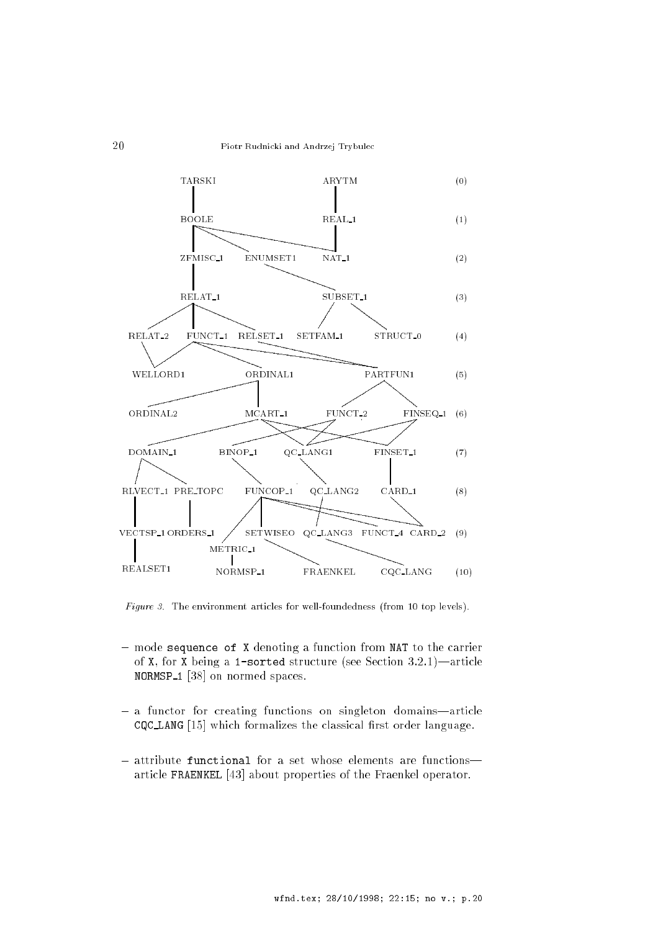

Figure 3. The environment articles for well-foundedness (from 10 top levels).

- $-$  mode sequence of X denoting a function from NAT to the carrier of X, for X being a 1-sorted structure (see Section 3.2.1)—article NORMSP<sub>1</sub> [38] on normed spaces.
- a functor for creating functions on singleton domains—article CQC\_LANG [15] which formalizes the classical first order language.
- attribute functional for a set whose elements are functionsarticle FRAENKEL [43] about properties of the Fraenkel operator.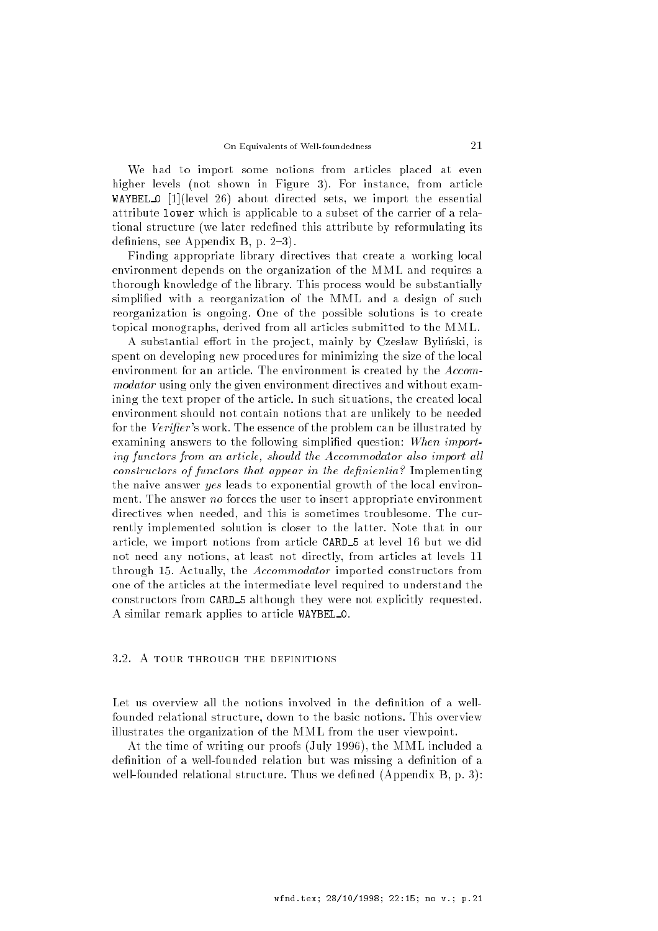We had to import some notions from articles placed at even higher levels (not shown in Figure 3). For instance, from article WAYBEL 0 [1](level 26) about directed sets, we import the essential attribute lower which is applicable to a subset of the carrier of a relational structure (we later redened this attribute by reformulating its definiens, see Appendix B, p.  $2-3$ ).

Finding appropriate library directives that create a working local environment depends on the organization of the MML and requires a thorough knowledge of the library. This process would be substantially simplified with a reorganization of the MML and a design of such reorganization is ongoing. One of the possible solutions is to create topical monographs, derived from all articles submitted to the MML.

A substantial effort in the project, mainly by Czesław Byliński, is spent on developing new procedures for minimizing the size of the local environment for an article. The environment is created by the Accommodator using only the given environment directives and without examining the text proper of the article. In such situations, the created local environment should not contain notions that are unlikely to be needed for the Verifier's work. The essence of the problem can be illustrated by examining answers to the following simplified question: When importing functors from an article, should the Accommodator also import all constructors of functors that appear in the definientia? Implementing the naive answer yes leads to exponential growth of the local environment. The answer no forces the user to insert appropriate environment directives when needed, and this is sometimes troublesome. The currently implemented solution is closer to the latter. Note that in our article, we import notions from article CARD <sup>5</sup> at level <sup>16</sup> but we did not need any notions, at least not directly, from articles at levels 11 through 15. Actually, the Accommodator imported constructors from one of the articles at the intermediate level required to understand the constructors from CARD <sup>5</sup> although they were not explicitly requested. A similar remark applies to article WAYBEL 0.

# 3.2. A tour through the definitions

Let us overview all the notions involved in the definition of a wellfounded relational structure, down to the basic notions. This overview illustrates the organization of the MML from the user viewpoint.

At the time of writing our proofs (July 1996), the MML included a definition of a well-founded relation but was missing a definition of a well-founded relational structure. Thus we defined (Appendix B, p. 3):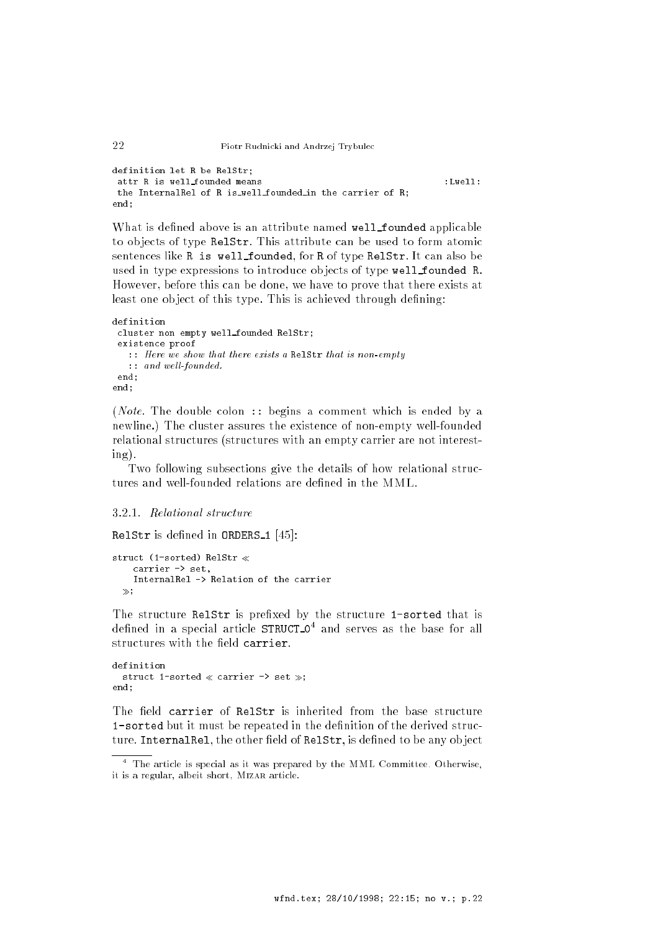```
definition let R be RelStr;
   attr R is well_founded means
                                                                                                                                                                                : I.well:the InternalRel of R is_well_founded_in the carrier of R;
end:
 end; and the second second second second second second second second second second second second second second second second second second second second second second second second second second second second second second
```
What is defined above is an attribute named well\_founded applicable to ob jects of type RelStr. This attribute can be used to form atomic sentences like R is well founded, for R of type RelStr. It can also be used in type expressions to introduce objects of type well founded R. However, before this can be done, we have to prove that there exists at least one object of this type. This is achieved through defining:

```
definition
 cluster non empty well founded RelStr;
 existence proof
   :: Here we show that there exists a RelStr that is non-empty
   \ldots and well-founded.
 end:end;
end;
```
(*Note*. The double colon :: begins a comment which is ended by a newline.) The cluster assures the existence of non-empty well-founded relational structures (structures with an empty carrier are not interesting).

Two following subsections give the details of how relational structures and well-founded relations are defined in the MML.

# 3.2.1. Relational structure

RelStr is defined in ORDERS<sub>-1</sub> [45]:

```
struct (1-sorted) RelStr 
   carrier -> set,
   InternalRel -> Relation of the carrier
 \gg;
```
The structure RelStr is prefixed by the structure 1-sorted that is defined in a special article  $\texttt{STRUCT\_O}^4$  and serves as the base for all structures with the field carrier.

```
definition
  struct 1-sorted \ll carrier -> set \gg;
end;
```
The field carrier of RelStr is inherited from the base structure 1-sorted but it must be repeated in the definition of the derived structure. InternalRel, the other field of RelStr, is defined to be any object

 $^\circ$  The article is special as it was prepared by the MML Committee. Otherwise, it is a regular, albeit short, MIZAR article.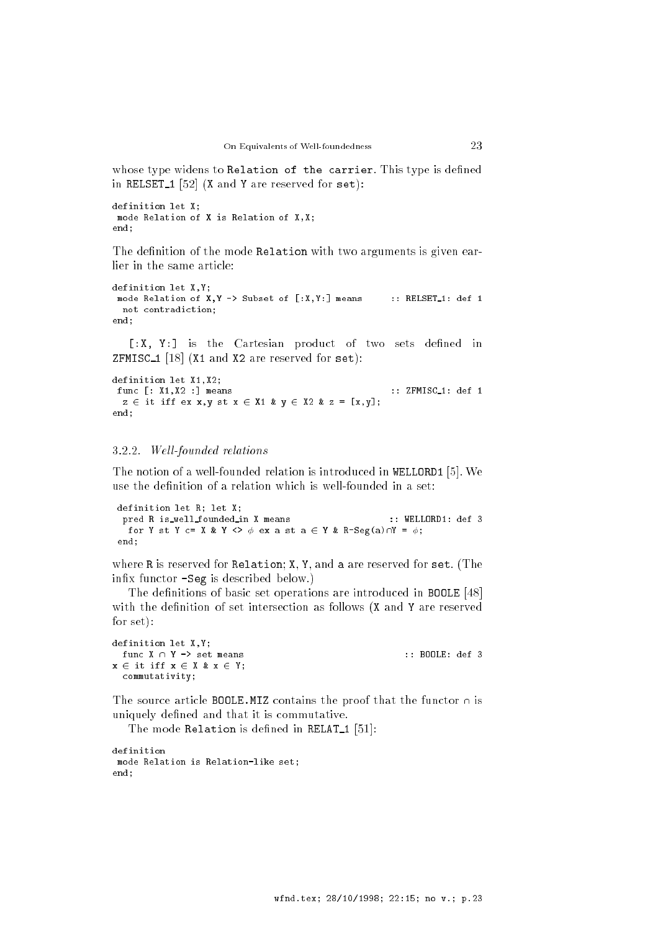whose type widens to Relation of the carrier. This type is defined in RELSET<sub>1</sub> [52] (X and Y are reserved for  $set$ ):

```
definition let X:
\overline{\phantom{a}}mode Relation of X is Relation of X,X;
end;
```
The definition of the mode Relation with two arguments is given earlier in the same article:

```
definition let X,Y;
 mode Relation of X, Y -> Subset of [:X, Y: ] means :: RELSET-1: def 1
 not contradiction;
end;
```
[:X, Y:] is the Cartesian product of two sets defined in ZFMISC<sub>1</sub> [18] (X1 and X2 are reserved for set):

```
definition let X1,X2;
func [: X1, X2 :] means :: ZFMISC_1: def 1
 z \in it iff ex x,y st x \in X1 & y \in X2 & z = [x,y];end:end;
```
#### 3.2.2. Well-founded relations

The notion of a well-founded relation is introduced in WELLORD1 [5]. We use the definition of a relation which is well-founded in a set:

```
definition let R; let X;
pred R is_well_founded_in X means :: WELLORD1: def 3
 for Y st Y c= X & Y <> \phi ex a st a \in Y & R-Seg(a)\capY = \phi;
end;
```
where R is reserved for Relation; X, Y, and a are reserved for set. (The inx functor -Seg is described below.)

The definitions of basic set operations are introduced in **BOOLE** [48] with the definition of set intersection as follows (X and Y are reserved for set):

```
definition let X,Y;
 func X \cap Y \rightarrow set means \qquad \qquad :: \text{ BODE: def } 3x \in it iff x \in X & x \in Y;
  commutativity;
```
The source article BOOLE. MIZ contains the proof that the functor  $\cap$  is uniquely defined and that it is commutative.

The mode Relation is defined in RELAT<sub>1</sub> [51]:

```
definition
mode Relation is Relation-like set;
end;
```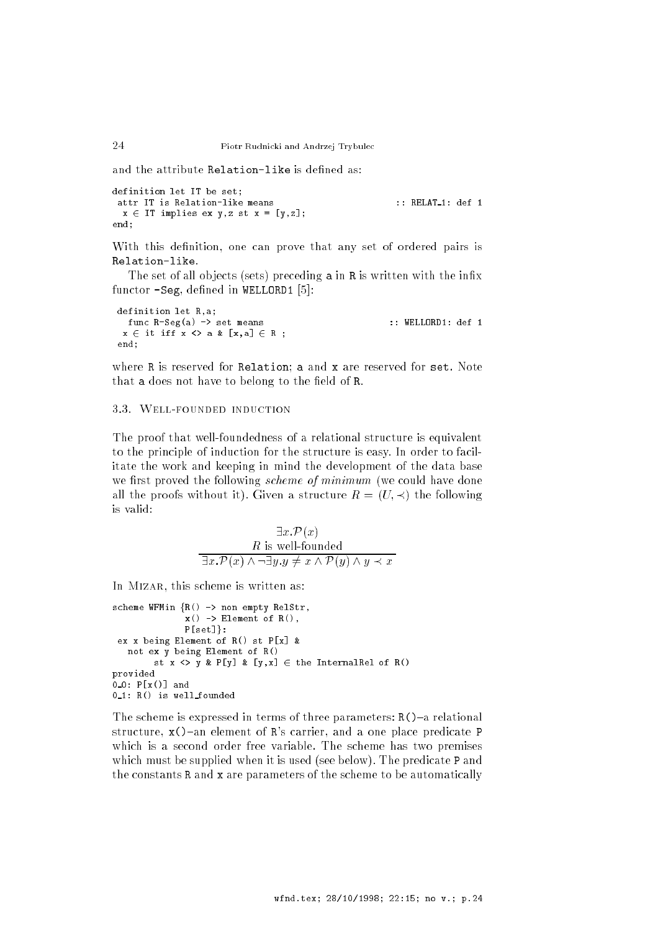and the attribute Relation-like is defined as:

```
definition let IT be set;
  attr IT is Relation-like means \cdots :: RELAT-1: def 1
   x \in IT implies ex y,z st x = [y,z];end:
end; and the second second second second second second second second second second second second second second second second second second second second second second second second second second second second second second
```
With this definition, one can prove that any set of ordered pairs is Relation-like.

The set of all objects (sets) preceding a in R is written with the infix functor  $-Seg$ , defined in WELLORD1 [5]:

definition let R,a; func R-Seg(a) -> set means :: WELLORD1: def 1  $x \in \text{it iff } x \Leftrightarrow a \& [x,a] \in R;$ end;

where R is reserved for Relation; a and x are reserved for set. Note that a does not have to belong to the field of R.

# 3.3. Well-founded induction

The proof that well-foundedness of a relational structure is equivalent to the principle of induction for the structure is easy. In order to facilitate the work and keeping in mind the development of the data base we first proved the following *scheme of minimum* (we could have done all the proofs without it). Given a structure  $R = (U, \prec)$  the following is valid:

$$
\exists x. \mathcal{P}(x)
$$
  
\nR is well-founded  
\n
$$
\overline{\exists x. \mathcal{P}(x) \land \neg \exists y. y \neq x \land \mathcal{P}(y) \land y \prec x}
$$

In MIZAR, this scheme is written as:

```
scheme WFMin {R() \rightarrow \text{non empty RelStr}},
                x() \rightarrow Element of R(),
                P[set]:
 ex x being Element of R() st P[x] &
   not ex y being Element of R()
         st x \Leftrightarrow y \& P[y] \& [y, x] \in the InternalRel of R()
provided
0_0: P[x()] and
0 - 1: R() is well_founded
```
The scheme is expressed in terms of three parameters:  $R()$ –a relational structure,  $x()$ -an element of R's carrier, and a one place predicate P which is a second order free variable. The scheme has two premises which must be supplied when it is used (see below). The predicate P and the constants R and x are parameters of the scheme to be automatically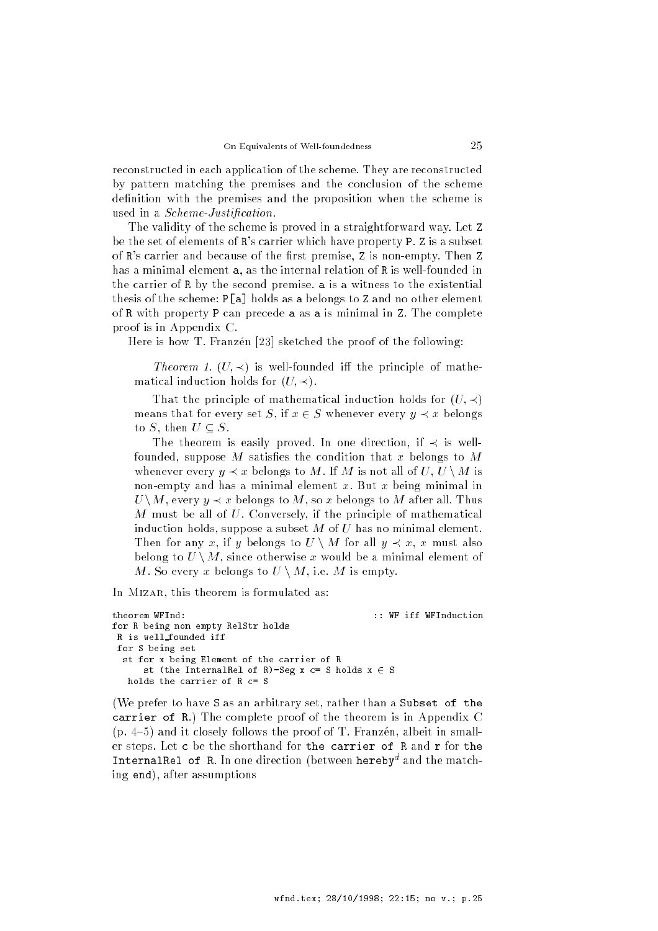reconstructed in each application of the scheme. They are reconstructed by pattern matching the premises and the conclusion of the scheme definition with the premises and the proposition when the scheme is used in a *Scheme-Justification*.

The validity of the scheme is proved in a straightforward way. Let Z be the set of elements of R's carrier which have property P. Z is a subset of R's carrier and because of the first premise, Z is non-empty. Then Z has a minimal element a, as the internal relation of R is well-founded in the carrier of R by the second premise. a is a witness to the existential thesis of the scheme: P[a] holds as a belongs to Z and no other element of R with property P can precede a as a is minimal in Z. The complete proof is in Appendix C.

Here is how T. Franzen [23] sketched the proof of the following:

Theorem 1.  $(U, \prec)$  is well-founded iff the principle of mathematical induction holds for  $(U, \prec)$ .

That the principle of mathematical induction holds for  $(U, \prec)$ means that for every set S, if  $x \in S$  whenever every  $y \prec x$  belongs to S, then  $U \subset S$ .

The theorem is easily proved. In one direction, if  $\prec$  is wellfounded, suppose  $M$  satisfies the condition that x belongs to  $M$ whenever every  $y \prec x$  belongs to M. If M is not all of U,  $U \setminus M$  is non-empty and has a minimal element  $x$ . But  $x$  being minimal in U jalan U lua juu wuxuu gu bu alaa juu w balaagu to All. Thus was alleged M must be all of U. Conversely, if the principle of mathematical induction holds, suppose a subset  $M$  of  $U$  has no minimal element. Then for any x, if y belongs to  $U \setminus M$  for all  $y \prec x$ , x must also belong to  $U \setminus M$ , since otherwise x would be a minimal element of M. So every x belongs to  $U \setminus M$ , i.e. M is empty.

In MIZAR, this theorem is formulated as:

```
theorem WFInd: :: WF iff WFInduction
for R being non empty RelStr holds
R is well founded iff
for S being set
 st for x being Element of the carrier of R
     st (the InternalRel of R)-Seg x c= S holds x \in Sholds the carrier of R c= S
```
(We prefer to have S as an arbitrary set, rather than a Subset of the carrier of R.) The complete proof of the theorem is in Appendix C  $(p. 4–5)$  and it closely follows the proof of T. Franzen, albeit in smaller steps. Let c be the shorthand for the carrier of R and r for the Internalrel of R. In one direction (between hereby" and the matching end), after assumptions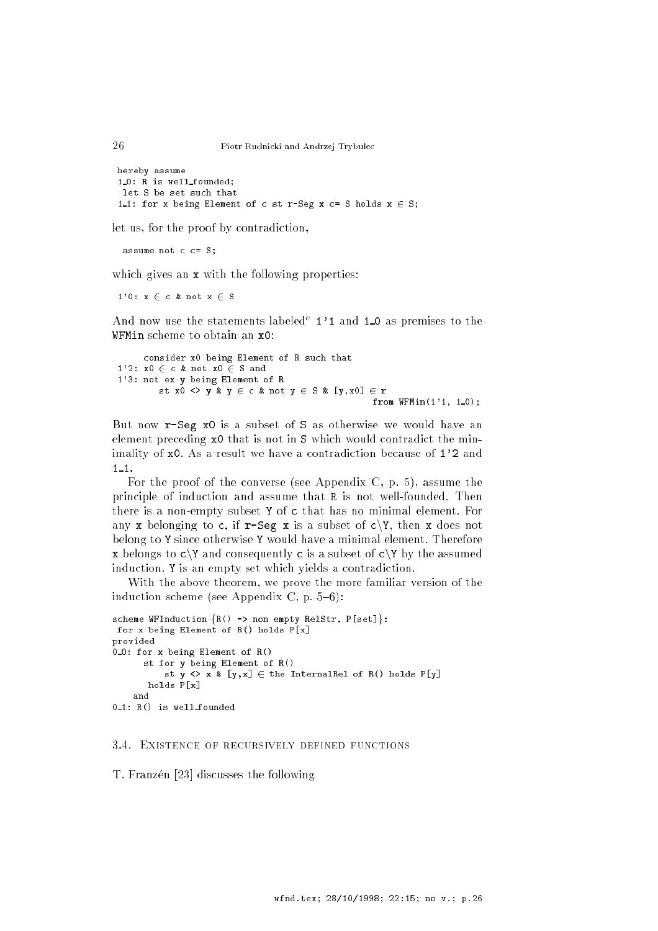```
hereby assume
1 0: R is well founded;
let S be set such that
1.1: for x being Element of c st r-Seg x c= S holds x \in S;
```
let us, for the proof by contradiction,

assume not  $c = S$ ;

which gives an x with the following properties:

1'0:  $x \in c$  & not  $x \in S$ 

And now use the statements labeled<sup>e</sup> 1'1 and 1<sub>-0</sub> as premises to the WFMin scheme to obtain an x0:

```
consider x0 being Element of R such that
1'2: x0 \in c & not x0 \in S and
1'3: not ex y being Element of R
         st x0 \Leftrightarrow y \& y \in c \& not y \in S \& [y, x0] \in rfrom WFMin(1'1, 1_0);
```
But now r-Seg x0 is a subset of S as otherwise we would have an element preceding x0 that is not in S which would contradict the minimality of x0. As a result we have a contradiction because of 1'2 and  $1 - 1$ .

For the proof of the converse (see Appendix C, p. 5), assume the principle of induction and assume that R is not well-founded. Then there is a non-empty subset Y of c that has no minimal element. For any x belonging to c, if r-Seg x is a subset of c $\Upsilon$ , then x does not belong to Y since otherwise Y would have a minimal element. Therefore x belongs to  $c \ Y$  and consequently c is a subset of  $c \ Y$  by the assumed induction. Y is an empty set which yields a contradiction.

With the above theorem, we prove the more familiar version of the induction scheme (see Appendix C, p.  $5{-}6$ ):

```
scheme WFInduction {R() \rightarrow non empty RelStr, P[set]}:
for x being Element of R() holds P[x]
provided
0 - 0: for x being Element of R()st for y being Element of R()
           st y \leftrightarrow x^* [y, x] \in the InternalRel of R() holds P[y]
       holds P[x]
0_1: R() is well founded
```
### 3.4. Existence of recursively defined functions

T. Franzén [23] discusses the following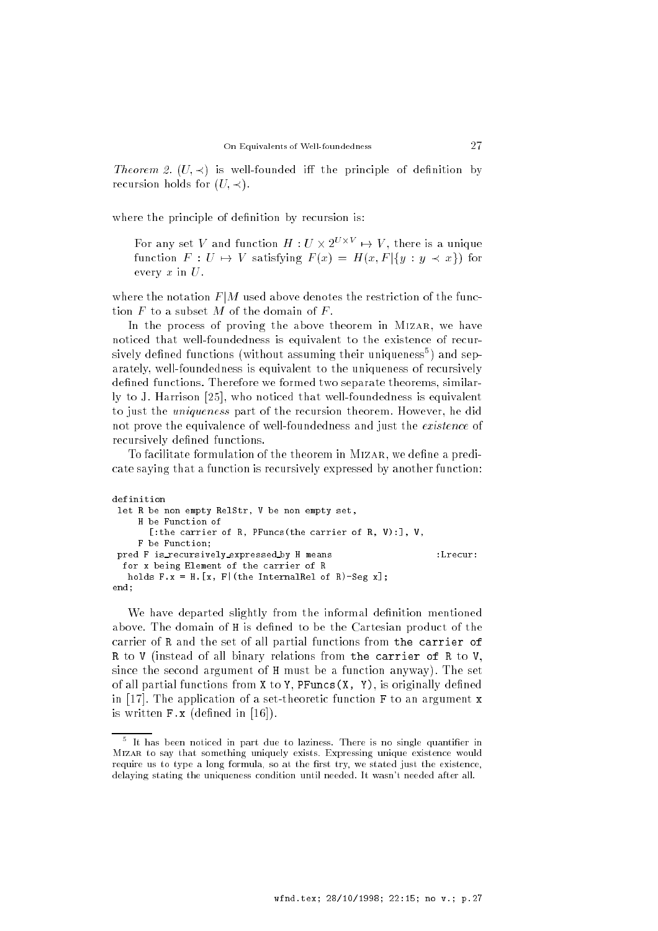*Theorem 2.*  $(U, \prec)$  is well-founded iff the principle of definition by recursion holds for  $(U, \prec)$ .

where the principle of definition by recursion is:

For any set V and function  $H: U \times Z^{\perp} \rightarrow V$ , there is a unique function  $F: U \mapsto V$  satisfying  $F(x) = H(x, F | \{y : y \prec x\})$  for every  $x$  in  $U$ .

where the notation  $F/M$  used above denotes the restriction of the function  $F$  to a subset  $M$  of the domain of  $F$ .

In the process of proving the above theorem in Mizar, we have noticed that well-foundedness is equivalent to the existence of recursively defined functions (without assuming their uniqueness<sup>5</sup>) and separately, well-foundedness is equivalent to the uniqueness of recursively defined functions. Therefore we formed two separate theorems, similarly to J. Harrison [25], who noticed that well-foundedness is equivalent to just the uniqueness part of the recursion theorem. However, he did not prove the equivalence of well-foundedness and just the *existence* of recursively defined functions.

To facilitate formulation of the theorem in MIZAR, we define a predicate saying that a function is recursively expressed by another function:

```
definition
 let R be non empty RelStr, V be non empty set,
     H be Function of
      [:the carrier of R, PFuncs(the carrier of R, V):], V,
     F be Function;
 pred F is_recursively_expressed_by H means
                                                                 \cdotI recur\cdotfor x being Element of the carrier of R
  holds F.x = H.[x, F] (the InternalRel of R)-Seg x];
end;
```
We have departed slightly from the informal definition mentioned above. The domain of H is defined to be the Cartesian product of the carrier of R and the set of all partial functions from the carrier of R to V (instead of all binary relations from the carrier of R to V, since the second argument of H must be a function anyway). The set of all partial functions from  $X$  to  $Y$ , PFuncs  $(X, Y)$ , is originally defined in [17]. The application of a set-theoretic function F to an argument x is written  $F \cdot x$  (defined in [16]).

 $^\circ$  It has been noticed in part due to laziness. There is no single quantifier in Mizar to say that something uniquely exists. Expressing unique existence would require us to type a long formula, so at the first try, we stated just the existence, delaying stating the uniqueness condition until needed. It wasn't needed after all.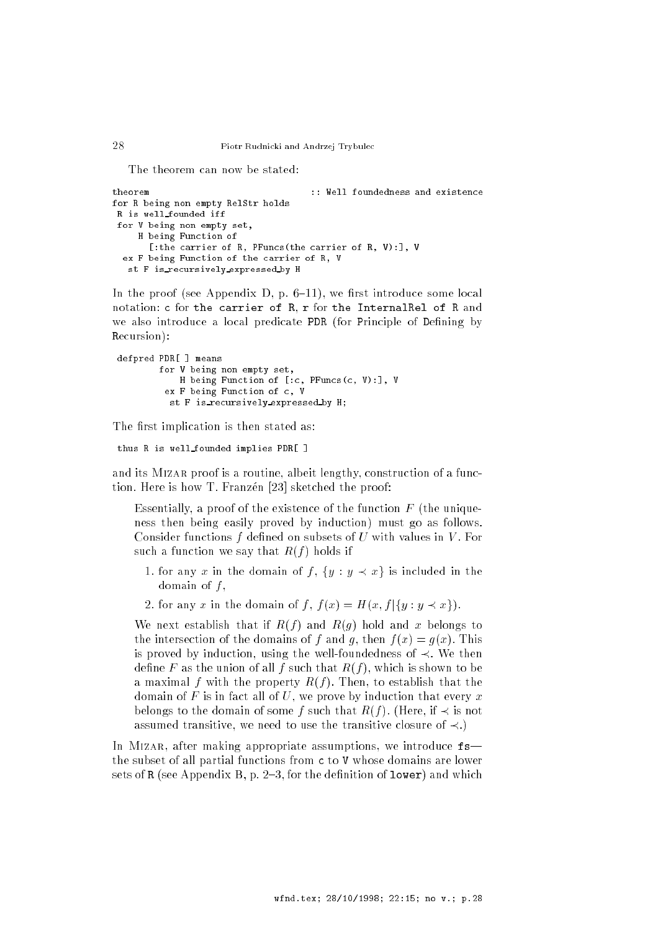The theorem can now be stated:

```
theorem :: Well foundedness and existence
for R being non empty RelStr holds
R is well founded iff
for V being non empty set,
    H being Function of
      [:the carrier of R, PFuncs(the carrier of R, V):], V
  ex F being Function of the carrier of R, V
  st F is recursively expressed by H
```
In the proof (see Appendix D, p.  $6-11$ ), we first introduce some local notation: c for the carrier of R, r for the InternalRel of R and we also introduce a local predicate PDR (for Principle of Defining by Recursion):

```
defpred PDR[ ] means
        for V being non empty set,
            H being Function of [:c, PFuncs(c, V):], V
         ex F being Function of c, V
          st F is recursively expressed by H;
```
The first implication is then stated as:

thus R is well founded implies PDR[ ]

and its MIZAR proof is a routine, albeit lengthy, construction of a function. Here is how T. Franzen [23] sketched the proof:

Essentially, a proof of the existence of the function  $F$  (the uniqueness then being easily proved by induction) must go as follows. Consider functions  $f$  defined on subsets of  $U$  with values in  $V$ . For such a function we say that  $R(f)$  holds if

- 1. for any x in the domain of f,  $\{y : y \prec x\}$  is included in the domain of  $f$ ,
- 2. for any x in the domain of f,  $f(x) = H(x, f | \{y : y \prec x\})$ .

We next establish that if  $R(f)$  and  $R(g)$  hold and x belongs to the intersection of the domains of f and q, then  $f(x) = q(x)$ . This is proved by induction, using the well-foundedness of  $\prec$ . We then define F as the union of all f such that  $R(f)$ , which is shown to be a maximal f with the property  $R(f)$ . Then, to establish that the domain of F is in fact all of U, we prove by induction that every  $x$ belongs to the domain of some f such that  $R(f)$ . (Here, if  $\prec$  is not assumed transitive, we need to use the transitive closure of  $\prec$ .)

In MIZAR, after making appropriate assumptions, we introduce  $f$ s the subset of all partial functions from c to V whose domains are lower sets of R (see Appendix B, p. 2-3, for the definition of lower) and which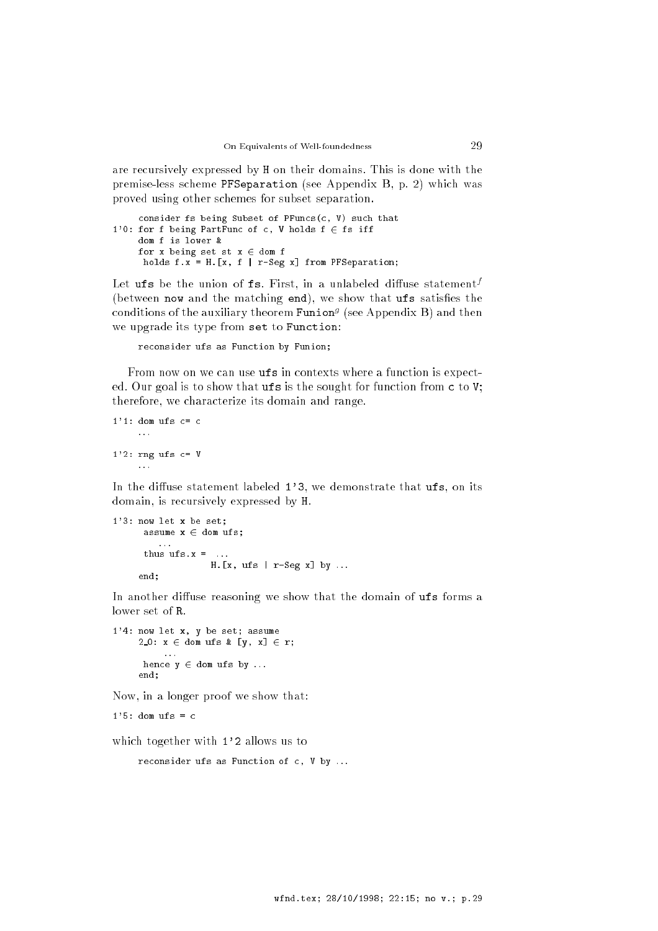are recursively expressed by H on their domains. This is done with the premise-less scheme PFSeparation (see Appendix B, p. 2) which was proved using other schemes for subset separation.

```
consider fs being Subset of PFuncs(c, V) such that
1'0: for f being PartFunc of c, V holds f \in fs iff
     dom f is lower \&for x being set st x \in dom f
     holds f.x = H.[x, f | r-Seg x] from PFSeparation;
```
Let **urs** be the union of **is.** First, in a unlabeled diffuse statement<sup>,</sup> (between now and the matching end), we show that  $\texttt{ufs}$  satisfies the conditions of the auxiliary theorem Funion<sup>g</sup> (see Appendix B) and then we upgrade its type from set to Function:

reconsider ufs as Function by Funion;

From now on we can use ufs in contexts where a function is expected. Our goal is to show that ufs is the sought for function from c to V; therefore, we characterize its domain and range.

```
1'1: dom ufs c = c. . .
1'2: rng ufs c= V
```
In the diffuse statement labeled  $1'3$ , we demonstrate that  $\mathbf{ufs}$ , on its domain, is recursively expressed by H.

```
1'3: now let x be set;
      assume x \in dom ufs;
      thus ufs.x =.
                    H. [x, ufs \mid r-Seg x] by ...end:
     end;
```
In another diffuse reasoning we show that the domain of ufs forms a lower set of R.

```
1'4: now let x, y be set; assume
     2_0: x \in dom ufs & [y, x] \in r;
      hence y \in dom ufs by ...
     end;
```
Now, in a longer proof we show that:

 $1'5$ : dom ufs = c

which together with 1'2 allows us to

reconsider ufs as Function of c, V by ...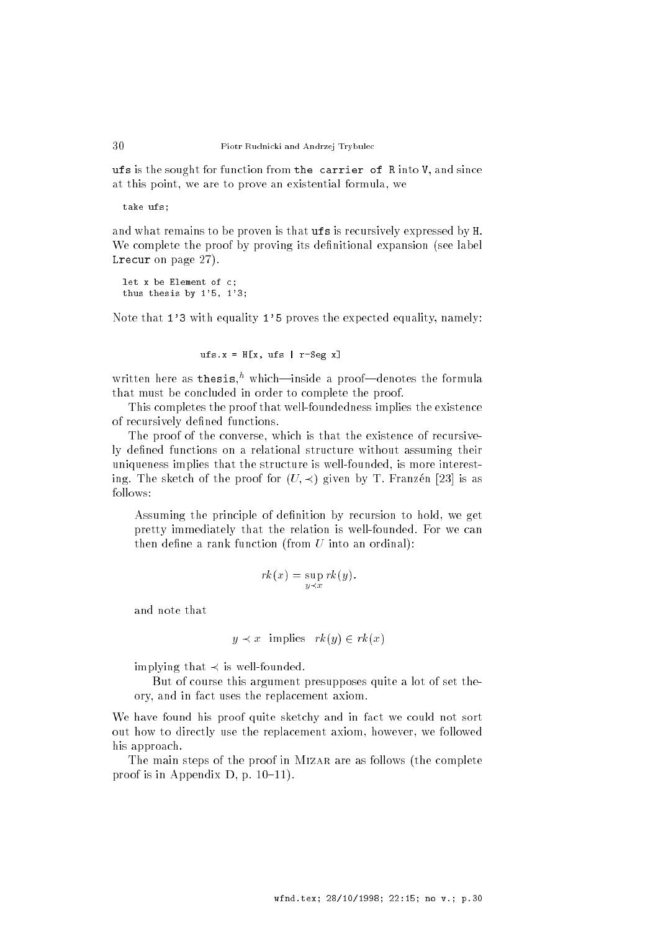ufs is the sought for function from the carrier of R into V, and since at this point, we are to prove an existential formula, we

take ufs;

and what remains to be proven is that ufs is recursively expressed by H. We complete the proof by proving its definitional expansion (see label Lrecur on page 27).

```
let x be Element of c;
thus thesis by 1'5, 1'3;
```
Note that 1'3 with equality 1'5 proves the expected equality, namely:

 $ufs.x = H[x, ufs | r-Seg x]$ 

written here as thesis," which—inside a proof—denotes the formula that must be concluded in order to complete the proof.

This completes the proof that well-foundedness implies the existence of recursively defined functions.

The proof of the converse, which is that the existence of recursively defined functions on a relational structure without assuming their uniqueness implies that the structure is well-founded, is more interesting. The sketch of the proof for  $(U, \prec)$  given by T. Franzen [23] is as follows:

Assuming the principle of definition by recursion to hold, we get pretty immediately that the relation is well-founded. For we can then define a rank function (from  $U$  into an ordinal):

$$
rk(x) = \sup_{y \prec x} rk(y).
$$

and note that

$$
y \prec x \text{ implies } rk(y) \in rk(x)
$$

implying that  $\prec$  is well-founded.

But of course this argument presupposes quite a lot of set theory, and in fact uses the replacement axiom.

We have found his proof quite sketchy and in fact we could not sort out how to directly use the replacement axiom, however, we followed his approach.

The main steps of the proof in MIZAR are as follows (the complete proof is in Appendix D, p.  $10-11$ .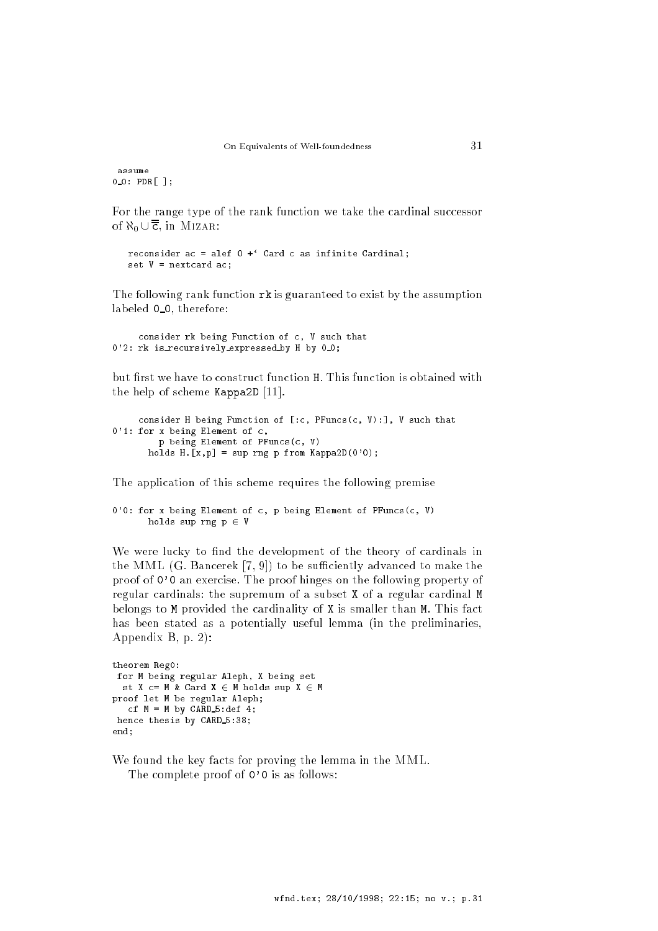assume <sup>0</sup> 0: PDR[ ];

For the range type of the rank function we take the cardinal successor of  $\aleph_0 \cup \overline{\overline{c}}$ , in Mizar:

```
reconsider ac = alef 0 + ' Card c as infinite Cardinal;
set V = nextcard ac;
```
The following rank function rk is guaranteed to exist by the assumption labeled  $0_0$ , therefore:

```
consider rk being Function of c, V such that
0'2: rk is_recursively_expressed_by H by 0_0;
```
but first we have to construct function H. This function is obtained with the help of scheme Kappa2D [11].

```
consider H being Function of [:c, PFuncs(c, V):], V such that
0'1: for x being Element of c,
          p being Element of PFuncs(c, V)
       holds H.\overline{[x,p]} = \sup \text{rng } p \text{ from } Kappa2D(0'0);
```
The application of this scheme requires the following premise

```
0'0: for x being Element of c, p being Element of PFuncs(c, V)
      holds sup rng p \in V
```
We were lucky to find the development of the theory of cardinals in the MML  $(G.$  Bancerek  $[7, 9]$  to be sufficiently advanced to make the proof of 0'0 an exercise. The proof hinges on the following property of regular cardinals: the supremum of a subset X of a regular cardinal M belongs to M provided the cardinality of X is smaller than M. This fact has been stated as a potentially useful lemma (in the preliminaries, Appendix B, p. 2):

```
theorem Reg0:
 for M being regular Aleph, X being set
  st X c= M & Card X \in M holds sup X \in M
proof let M be regular Aleph;
   cf M = M by CA\overline{A}D_5:def 4;hence thesis by CARD 5:38;
end:end;
```
We found the key facts for proving the lemma in the MML. The complete proof of  $0'$  0 is as follows: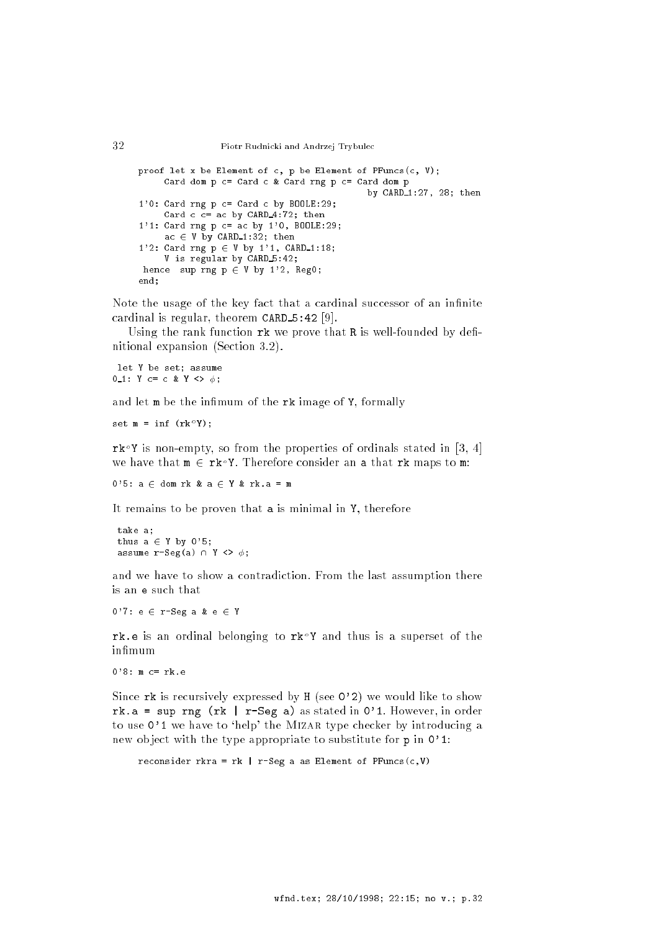```
32 Piotr Rudnicki and Andrzej Trybulec
```

```
proof let x be Element of c, p be Element of PFuncs(c, V);
     Card dom p c= Card c & Card rng p c= Card dom p
                                              by CARD 1:27, 28; then
1'0: Card rng p c= Card c by BOOLE:29;
     Card c = ac by CARD 4:72; then
1'1: Card rng p c= ac by 1'0, BOOLE:29;
     ac \in V by CARD<sub>-1</sub>:32; then
1'2: Card rng p \in V by 1'1, CARD_1:18;
     V is regular by CARD 5:42;
hence sup rng p \in V by 1'2, Reg0;
```
Note the usage of the key fact that a cardinal successor of an infinite cardinal is regular, theorem  $CARD_5:42$  [9].

Using the rank function  $rk$  we prove that  $R$  is well-founded by definitional expansion (Section 3.2).

let Y be set; assume  $0 - 1$ : Y c= c & Y <>  $\phi$ ;

end;

and let  $m$  be the infimum of the  $rk$  image of  $Y$ , formally

 $\texttt{Set}$  m =  $\texttt{IIII}$  (rk i);

 $rk^{\circ}$  Y is non-empty, so from the properties of ordinals stated in [3, 4] we have that  $m \in \mathbf{rk} \circ Y$ . Therefore consider an a that rk maps to m:

 $0.5: a \in$  dom rk & a  $\in$  Y & rk.a = m

It remains to be proven that a is minimal in Y, therefore

take a; thus  $a \in Y$  by 0'5; assume  $r-Seg(a) \cap Y \Leftrightarrow \phi$ ;

and we have to show a contradiction. From the last assumption there is an e such that

 $0'$ 7: e  $\in$  r-Seg a & e  $\in$  Y

rk.e is an ordinal belonging to rk r and thus is a superset or the infimum

```
0'8: m c = rk.e
```
Since rk is recursively expressed by H (see 0'2) we would like to show rk.a = sup rng (rk | r-Seg a) as stated in  $0'$ 1. However, in order to use  $0'1$  we have to 'help' the MIZAR type checker by introducing a new ob ject with the type appropriate to substitute for p in 0'1:

reconsider rkra = rk | r-Seg a as Element of PFuncs(c,V)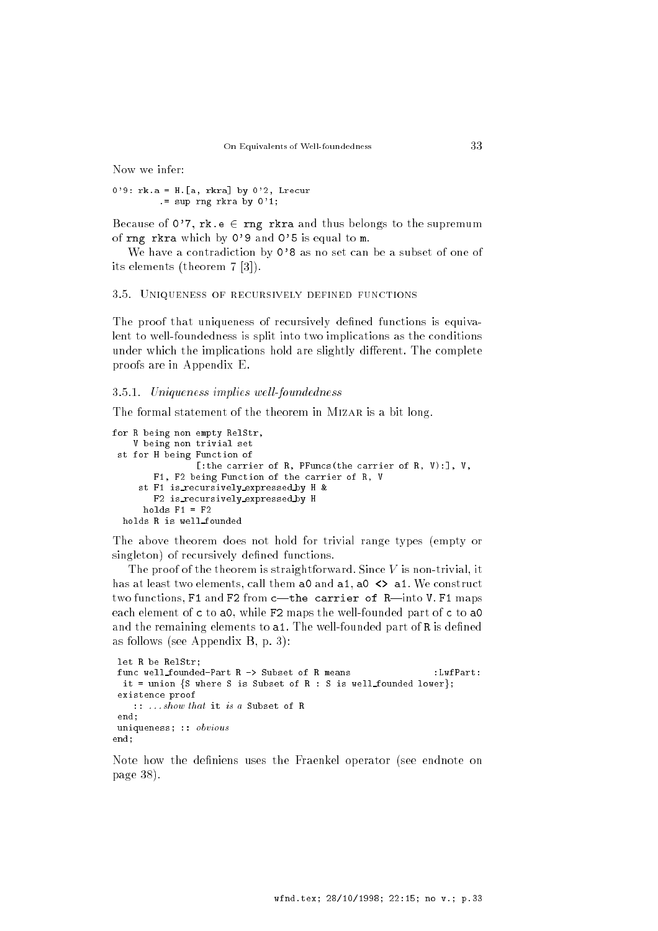Now we infer:

 $0'9$ : rk.a = H. [a, rkra] by  $0'2$ , Lrecur .= sup rng rkra by  $0'1$ ;

Because of  $0'7$ ,  $rk.e \in rng$  rkra and thus belongs to the supremum of rng rkra which by 0'9 and 0'5 is equal to m.

We have a contradiction by 0'8 as no set can be a subset of one of its elements (theorem 7 [3]).

#### 3.5. Uniqueness of recursively defined functions

The proof that uniqueness of recursively defined functions is equivalent to well-foundedness is split into two implications as the conditions under which the implications hold are slightly different. The complete proofs are in Appendix E.

#### 3.5.1. Uniqueness implies well-foundedness

The formal statement of the theorem in MIZAR is a bit long.

```
for R being non empty RelStr,
   V being non trivial set
st for H being Function of
                [:the carrier of R, PFuncs(the carrier of R, V):], V,
       F1, F2 being Function of the carrier of R, V
     st F1 is recursively expressed by H &
       F2 is recursively expressed by H
     holds F1 = F2holds R is well founded
```
The above theorem does not hold for trivial range types (empty or singleton) of recursively defined functions.

The proof of the theorem is straightforward. Since  $V$  is non-trivial, it has at least two elements, call them a0 and a1, a0  $\leftrightarrow$  a1. We construct two functions, F1 and F2 from  $c$ —the carrier of R—into V. F1 maps each element of c to a0, while F2 maps the well-founded part of c to a0 and the remaining elements to a1. The well-founded part of R is defined as follows (see Appendix B, p. 3):

```
let R be RelStr;
func well_founded-Part R -> Subset of R means :LwfPart:
 it = union {S where S is Subset of R : S is well founded lower};
 existence proof
   :: . . . show that it is a Subset of R
 end;
uniqueness; :: obvious
end:
end;
```
Note how the definiens uses the Fraenkel operator (see endnote on page 38).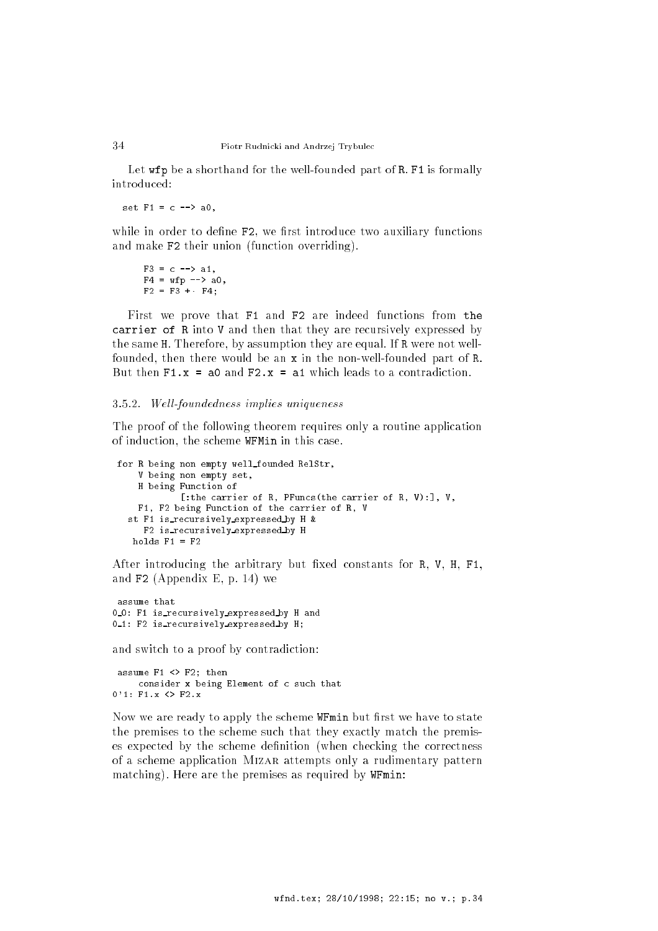Let wfp be a shorthand for the well-founded part of R. F1 is formally introduced:

set  $F1 = c$  --> a0,

while in order to define F2, we first introduce two auxiliary functions and make F2 their union (function overriding).

```
F3 = c \text{ --} > a1,F4 = wfp --> a0
F2 = F3 + F4;
```
First we prove that F1 and F2 are indeed functions from the carrier of R into V and then that they are recursively expressed by the same H. Therefore, by assumption they are equal. If R were not wellfounded, then there would be an x in the non-well-founded part of R. But then  $F1.x = a0$  and  $F2.x = a1$  which leads to a contradiction.

#### 3.5.2. Well-foundedness implies uniqueness

The proof of the following theorem requires only a routine application of induction, the scheme WFMin in this case.

```
for R being non empty well founded RelStr,
    V being non empty set,
    H being Function of
            [:the carrier of R, PFuncs(the carrier of R, V):], V,
   F1, F2 being Function of the carrier of R, V
  st F1 is recursively expressed by H &
     F2 is recursively expressed by H
  holds F1 = F2
```
After introducing the arbitrary but fixed constants for R, V, H, F1, and  $F2$  (Appendix E, p. 14) we

assume that 0\_0: F1 is\_recursively\_expressed\_by H and 0\_1: F2 is\_recursively\_expressed\_by H;

and switch to a proof by contradiction:

assume F1 <> F2; then consider x being Element of c such that  $0'1: F1.x \Leftrightarrow F2.x$ 

Now we are ready to apply the scheme WFmin but first we have to state the premises to the scheme such that they exactly match the premises expected by the scheme definition (when checking the correctness of a scheme application Mizar attempts only a rudimentary pattern matching). Here are the premises as required by WFmin: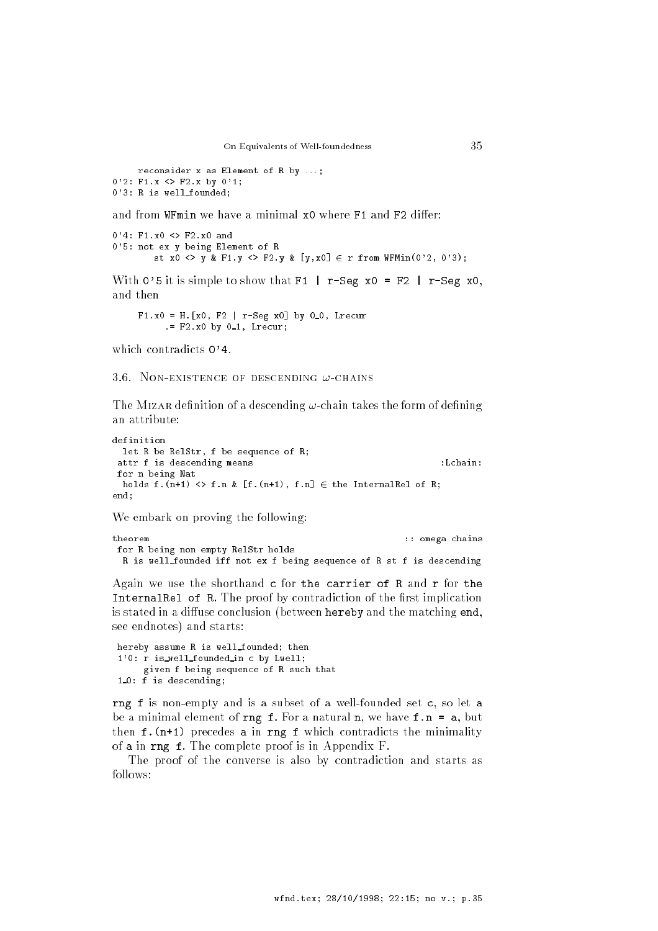reconsider x as Element of R by ...; 0'2: F1.x <> F2.x by 0'1; <sup>0</sup>'3: <sup>R</sup> is well founded;

and from WFmin we have a minimal x0 where F1 and F2 differ:

```
0'4: F1.x0 <> F2.x0 and
0'5: not ex y being Element of R
        st x0 <> y & F1.y <> F2.y & [y,x0] \in r from WFMin(0'2, 0'3);
```
With 0'5 it is simple to show that  $F1$  | r-Seg x0 = F2 | r-Seg x0, and then

 $F1.x0 = H.[x0, F2 | r-Seg x0] by 0.0, Lrecur$  $F2.x0 by 0_1$ , Lrecur;

which contradicts  $0'4$ .

3.6. NON-EXISTENCE OF DESCENDING  $\omega$ -CHAINS

The MIZAR definition of a descending  $\omega$ -chain takes the form of defining an attribute:

```
definition
 let R be RelStr, f be sequence of R;
 attr f is descending means \qquad \qquad :Lchain:
for n being Nat
 holds f.(n+1) <> f.n & [f.(n+1), f.n] \in the InternalRel of R;
end:
end;
```
We embark on proving the following:

```
theorem
                                                         :: omega chains
for R being non empty RelStr holds
 R is well founded iff not ex f being sequence of R st f is descending
```
Again we use the shorthand c for the carrier of R and r for the InternalRel of R. The proof by contradiction of the first implication is stated in a diffuse conclusion (between hereby and the matching end, see endnotes) and starts:

```
hereby assume R is well founded; then
1'0: r is_well_founded_in c by Lwell;
     given f being sequence of R such that
1.0: f is descending;
```
rng f is non-empty and is a subset of a well-founded set c, so let a be a minimal element of rng f. For a natural n, we have  $f.n = a$ , but then  $f.(n+1)$  precedes a in rng  $f$  which contradicts the minimality of a in rng f. The complete proof is in Appendix F.

The proof of the converse is also by contradiction and starts as follows: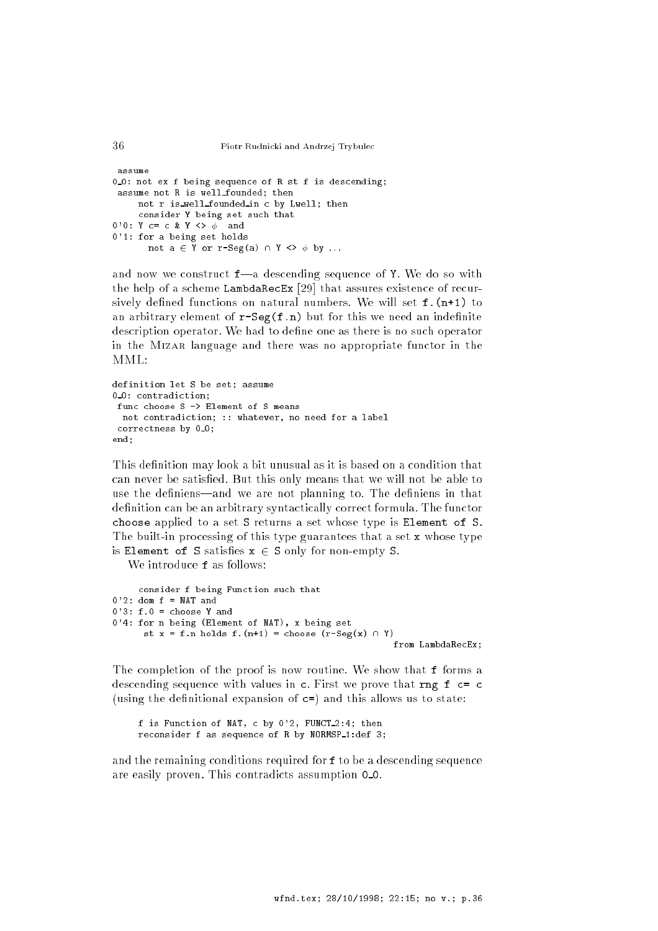```
assume
0_0: not ex f being sequence of R st f is descending;
 assume not R is well founded; then
     not r is well founded in c by Lwell; then
     consider Y being set such that
0'0: Y c= c & Y <> \phi and
0'1: for a being set holds
       not a \in Y or r-Seg(a) \cap Y \iff \phi by ...
```
and now we construct  $f$ —a descending sequence of Y. We do so with the help of a scheme LambdaRecEx [29] that assures existence of recursively defined functions on natural numbers. We will set f. (n+1) to an arbitrary element of  $r-Seg(f.n)$  but for this we need an indefinite description operator. We had to define one as there is no such operator in the MIZAR language and there was no appropriate functor in the  $MML$ :

```
definition let S be set; assume
0.0: contradiction:
\overline{\phantom{a}} 0: contradiction; \overline{\phantom{a}}func choose S -> Element of S means
  not contradiction; :: whatever, no need for a label
 correctness by 0_0;
end:end;
```
This definition may look a bit unusual as it is based on a condition that can never be satisfied. But this only means that we will not be able to use the definiens—and we are not planning to. The definiens in that definition can be an arbitrary syntactically correct formula. The functor choose applied to a set S returns a set whose type is Element of S. The built-in processing of this type guarantees that a set x whose type is Element of S satisfies  $x \in S$  only for non-empty S.

We introduce **f** as follows:

```
consider f being Function such that
0'2: dom f = \text{NAT} and
0'3: f.0 = choose Y and
0'4: for n being (Element of NAT), x being set
      st x = f.n holds f.(n+1) = choose (r-Seg(x) \cap Y)from LambdaRecEx;
```
The completion of the proof is now routine. We show that f forms a descending sequence with values in c. First we prove that rng f c= c (using the definitional expansion of  $c=$ ) and this allows us to state:

f is Function of NAT, c by  $0'2$ , FUNCT  $2:4$ ; then reconsider f as sequence of R by  $NORMSP_1:def 3;$ 

and the remaining conditions required for f to be a descending sequence are easily proven. This contradicts assumption 0 0.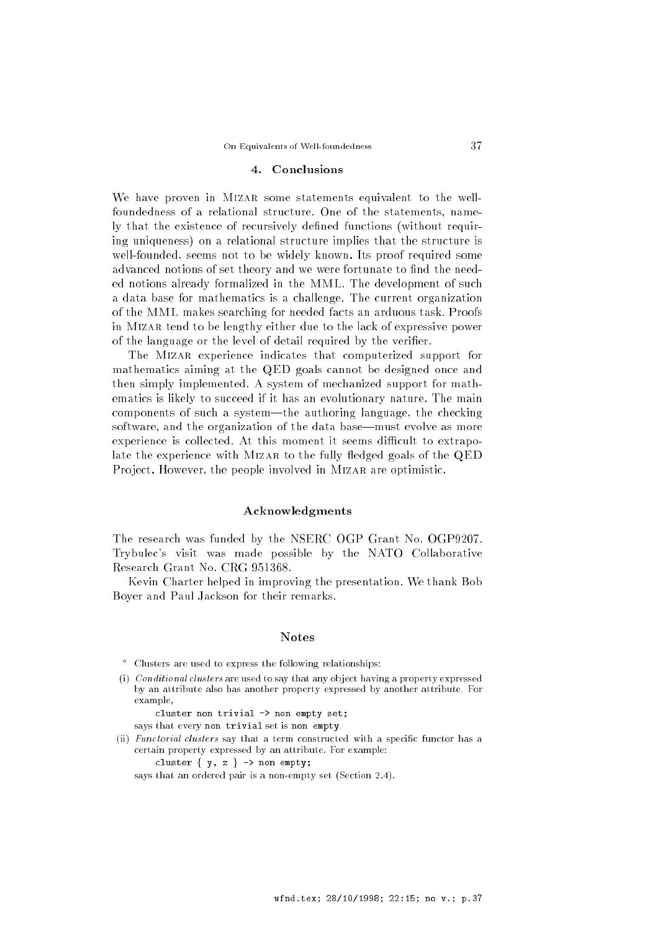#### 4. Conclusions

We have proven in MIZAR some statements equivalent to the wellfoundedness of a relational structure. One of the statements, namely that the existence of recursively defined functions (without requiring uniqueness) on a relational structure implies that the structure is well-founded, seems not to be widely known. Its proof required some advanced notions of set theory and we were fortunate to find the needed notions already formalized in the MML. The development of such a data base for mathematics is a challenge. The current organization of the MML makes searching for needed facts an arduous task. Proofs in Mizar tend to be lengthy either due to the lack of expressive power of the language or the level of detail required by the verifier.

The MIZAR experience indicates that computerized support for mathematics aiming at the QED goals cannot be designed once and then simply implemented. A system of mechanized support for mathematics is likely to succeed if it has an evolutionary nature. The main components of such a system—the authoring language, the checking software, and the organization of the data base—must evolve as more experience is collected. At this moment it seems difficult to extrapolate the experience with MIZAR to the fully fledged goals of the QED Project. However, the people involved in MIZAR are optimistic.

#### Acknowledgments

The research was funded by the NSERC OGP Grant No. OGP9207. Trybulec's visit was made possible by the NATO Collaborative Research Grant No. CRG 951368.

Kevin Charter helped in improving the presentation. We thank Bob Boyer and Paul Jackson for their remarks.

#### **Notes**

- $\degree$  -Clusters are used to express the following relationships:
- (i) Conditional clusters are used to say that any ob ject having a property expressed by an attribute also has another property expressed by another attribute. For example,
	- cluster non trivial -> non empty set;
	- says that every non trivial set is non empty.
- (ii) Functorial clusters say that a term constructed with a specific functor has a certain property expressed by an attribute. For example:

cluster  $\{ y, z \} \rightarrow \text{non empty};$ 

says that an ordered pair is a non-empty set (Section 2.4).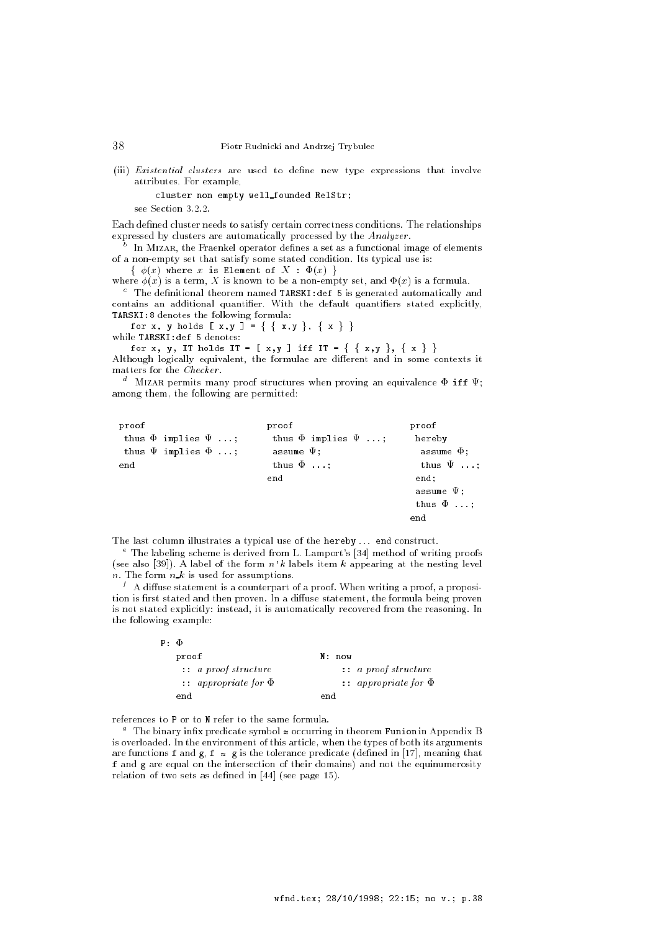(iii) *Existential clusters* are used to define new type expressions that involve attributes. For example,

cluster non empty well founded RelStr;

see Section 3.2.2.

Each defined cluster needs to satisfy certain correctness conditions. The relationships expressed by clusters are automatically processed by the Analyzer .

 $^\circ$  . In MIZAR, the Fraenkel operator defines a set as a functional image of elements of a non-empty set that satisfy some stated condition. Its typical use is:

 $f(x)$  where  $x$  is Element of  $\mathcal{X}$  :  $\mathcal{X}$  ,  $\mathcal{Y}$ 

where  $\phi(x)$  is a term, X is known to be a non-empty set, and  $\Phi(x)$  is a formula.

The definitional theorem named TARSKI:def 5 is generated automatically and contains an additional quantifier. With the default quantifiers stated explicitly, TARSKI:8 denotes the following formula:

for x, y holds  $[x, y] = \{ \{ x, y \}, \{ x \} \}$ while TARSKI:def 5 denotes:

for x, y, IT holds IT =  $[x,y]$  iff IT =  $\{x,y\}$ ,  $\{x\}$ 

Although logically equivalent, the formulae are different and in some contexts it matters for the Checker .

 $\degree$  -MIZAR permits many proof structures when proving an equivalence  $\Psi$  iff  $\Psi;$ among them, the following are permitted:

| proof |                              | proof                        | proof           |
|-------|------------------------------|------------------------------|-----------------|
|       | thus $\Phi$ implies $\Psi$ ; | thus $\Phi$ implies $\Psi$ ; | hereby          |
|       | thus $\Psi$ implies $\Phi$ ; | assume $\Psi$ :              | assume $\Phi$ : |
| end   |                              | thus $\Phi$                  | thus $\Psi$     |
|       |                              | end                          | end;            |
|       |                              |                              | assume $\Psi$ ; |
|       |                              |                              | thus $\Phi$     |
|       |                              |                              | end             |
|       |                              |                              |                 |

The last column illustrates a typical use of the hereby ... end construct.

e The labeling scheme is derived from L. Lamport's [34] method of writing proofs (see also [39]). A label of the form  $n'k$  labels item  $k$  appearing at the nesting level  $n.$  The form  $n \, k$  is used for assumptions.

 $^{\prime}$  – A diffuse statement is a counterpart of a proof. When writing a proof, a proposition is first stated and then proven. In a diffuse statement, the formula being proven is not stated explicitly: instead, it is automatically recovered from the reasoning. In the following example:

| $P: \Phi$ |                                 |                                 |
|-----------|---------------------------------|---------------------------------|
|           | proof                           | N: now                          |
|           | $\ldots$ a proof structure      | $\ldots$ a proof structure      |
|           | $\cdots$ appropriate for $\Phi$ | $\cdots$ appropriate for $\Phi$ |
|           | end                             | end                             |

references to P or to N refer to the same formula.

 $^\circ$  – The binary infix predicate symbol  $\approx$  occurring in theorem Funion in Appendix B is overloaded. In the environment of this article, when the types of both its arguments are functions f and g,  $f \approx g$  is the tolerance predicate (defined in [17], meaning that f and g are equal on the intersection of their domains) and not the equinumerosity relation of two sets as defined in  $[44]$  (see page 15).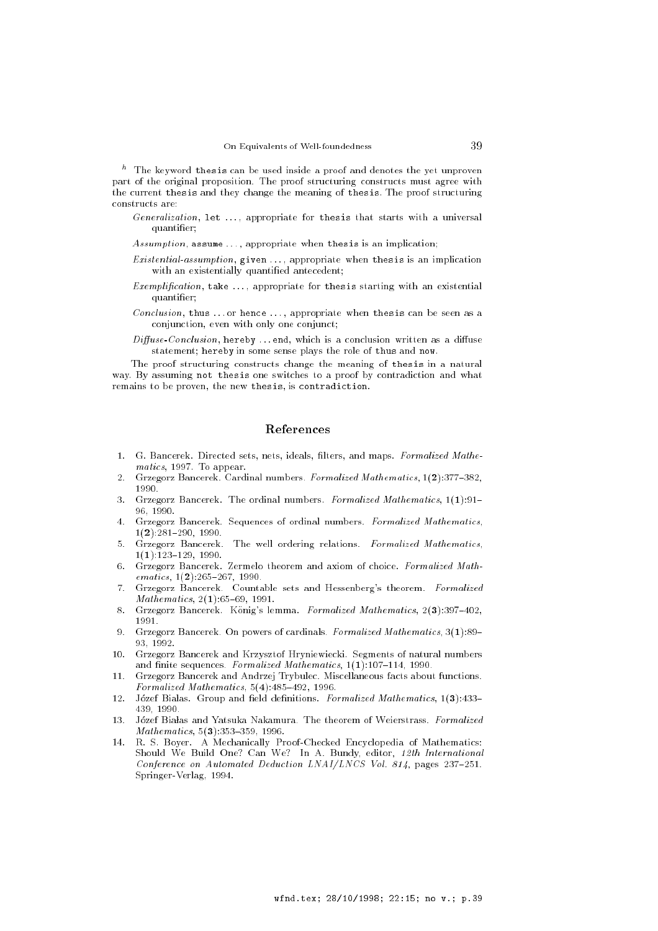$\degree$  . The keyword thesis can be used inside a proof and denotes the yet unproven part of the original proposition. The proof structuring constructs must agree with the current thesis and they change the meaning of thesis. The proof structuring constructs are:

- Generalization, let ..., appropriate for thesis that starts with a universal quantier;
- Assumption, assume ..., appropriate when thesis is an implication;
- Existential-assumption, given . . . , appropriate when thesis is an implication with an existentially quantified antecedent;
- Exemplification, take  $\dots$ , appropriate for thesis starting with an existential quantier;
- Conclusion, thus ... or hence ..., appropriate when thesis can be seen as a conjunction, even with only one conjunct;
- $Diffuse-Conclusion$ , hereby ... end, which is a conclusion written as a diffuse statement; hereby in some sense plays the role of thus and now.

The proof structuring constructs change the meaning of thesis in a natural way. By assuming not thesis one switches to a proof by contradiction and what remains to be proven, the new thesis, is contradiction.

# References

- 1. G. Bancerek. Directed sets, nets, ideals, filters, and maps. Formalized Mathematics, 1997. To appear.
- 2. Grzegorz Bancerek. Cardinal numbers. Formalized Mathematics, 1(2):377-382,  $1990$
- 3. Grzegorz Bancerek. The ordinal numbers. Formalized Mathematics,  $1(1):91-$ 96, 1990.
- 4. Grzegorz Bancerek. Sequences of ordinal numbers. Formalized Mathematics,  $1(2):281{-}290, 1990.$
- 5. Grzegorz Bancerek. The well ordering relations. Formalized Mathematics,  $1(1):123-129, 1990.$
- 6. Grzegorz Bancerek. Zermelo theorem and axiom of choice. Formalized Math $ematics, 1(2):265–267, 1990.$
- 7. Grzegorz Bancerek. Countable sets and Hessenberg's theorem. Formalized  $Mathematics, 2(1):65–69, 1991.$
- 8. Grzegorz Bancerek. Konig's lemma. Formalized Mathematics, 2(3):397-402, 1991.
- 9. Grzegorz Bancerek. On powers of cardinals. Formalized Mathematics,  $3(1):89-$ 93, 1992.
- 10. Grzegorz Bancerek and Krzysztof Hryniewiecki. Segments of natural numbers and finite sequences. Formalized Mathematics,  $1(1)$ :107-114, 1990.
- 11. Grzegorz Bancerek and Andrzej Trybulec. Miscellaneous facts about functions. Formalized Mathematics,  $5(4)$ : $485-492$ , 1996.
- 12. Józef Białas. Group and field definitions. Formalized Mathematics, 1(3):433-439 1990 439, 1990.
- 13. Józef Białas and Yatsuka Nakamura. The theorem of Weierstrass. Formalized  $Mathematics, 5(3):353–359, 1996.$
- 14. R. S. Boyer. A Mechanically Proof-Checked Encyclopedia of Mathematics: Should We Build One? Can We? In A. Bundy, editor, 12th International Conference on Automated Deduction LNAI/LNCS Vol. 814, pages 237-251. Springer-Verlag, 1994.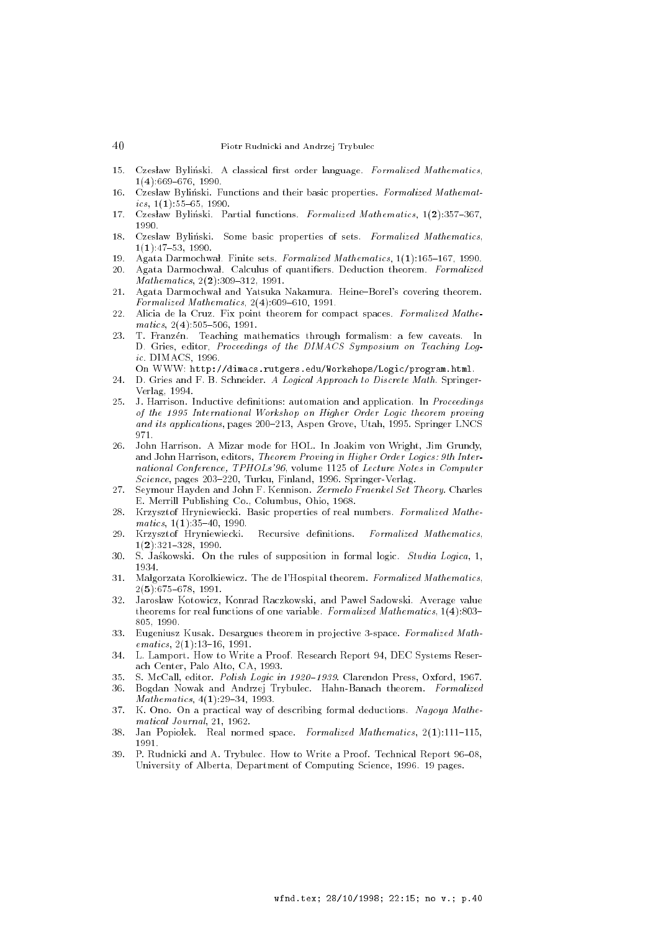- Czesław Byliński. A classical first order language. Formalized Mathematics,  $15.$  $1(4):669-676, 1990.$
- 16 Czesław Byliński. Functions and their basic properties. Formalized Mathematics,  $1(1):55{-}65$ , 1990.
- 17. Czesław Byliński. Partial functions. Formalized Mathematics, 1(2):357-367, 1990.
- 18. Czesław Byliński. Some basic properties of sets. Formalized Mathematics,  $1(1):47{-}53, 1990.$
- 19. Agata Darmochwal. Finite sets. Formalized Mathematics,  $1(1):165{-}167$ , 1990.
- 20. Agata Darmochwał. Calculus of quantifiers. Deduction theorem. Formalized  $Mathematics, 2(2):309-312, 1991.$
- 21. Agata Darmochwał and Yatsuka Nakamura. Heine-Borel's covering theorem. Formalized Mathematics,  $2(4):609{-}610, 1991$ .
- 22. Alicia de la Cruz. Fix point theorem for compact spaces. Formalized Mathe $matics, 2(4):505–506, 1991.$
- 23 T. Franzén. Teaching mathematics through formalism: a few caveats. In D. Gries, editor, Proceedings of the DIMACS Symposium on Teaching Logic. DIMACS, 1996.
- On WWW: http://dimacs.rutgers.edu/Workshops/Logic/program.html. 24. D. Gries and F. B. Schneider. A Logical Approach to Discrete Math. Springer-Verlag, 1994.
- 25. J. Harrison. Inductive definitions: automation and application. In *Proceedings* of the 1995 International Workshop on Higher Order Logic theorem proving and its applications, pages  $200-213$ , Aspen Grove, Utah, 1995. Springer LNCS 971
- 26. John Harrison. A Mizar mode for HOL. In Joakim von Wright, Jim Grundy, and John Harrison, editors, Theorem Proving in Higher Order Logics: 9th International Conference, TPHOLs'96, volume 1125 of Lecture Notes in Computer  $Science$ , pages 203-220, Turku, Finland, 1996. Springer-Verlag.
- 27. Seymour Hayden and John F. Kennison. Zermelo Fraenkel Set Theory. Charles E. Merrill Publishing Co., Columbus, Ohio, 1968.
- 28. Krzysztof Hryniewiecki. Basic properties of real numbers. Formalized Mathe $matics, 1(1):35–40, 1990.$
- 29. Krzysztof Hryniewiecki. Recursive definitions. Formalized Mathematics,  $1(2):321-328, 1990.$
- 30. S. Jaskowski. On the rules of supposition in formal logic. Studia Logica, 1, 1934.
- 31. Malgorzata Korolkiewicz. The de l'Hospital theorem. Formalized Mathematics,  $2(5):675{-}678, 1991.$
- Jarosław Kotowicz, Konrad Raczkowski, and Paweł Sadowski. Average value 32 theorems for real functions of one variable. Formalized Mathematics,  $1(4)$ :803--------
- 33. Eugeniusz Kusak. Desargues theorem in projective 3-space. Formalized Math $ematics, 2(1):13–16, 1991.$
- 34. L. Lamport. How to Write a Proof. Research Report 94, DEC Systems Reserach Center, Palo Alto, CA, 1993.
- 35 S. McCall, editor. Polish Logic in 1920-1939. Clarendon Press, Oxford, 1967.
- 36. Bogdan Nowak and Andrzej Trybulec. Hahn-Banach theorem. Formalized  $Mathematics, 4(1):29–34, 1993.$
- 37. K. Ono. On a practical way of describing formal deductions. Nagoya Mathematical Journal, 21, 1962.
- 38. Jan Popiolek. Real normed space. Formalized Mathematics,  $2(1):111-115$ , 1991
- 39. P. Rudnicki and A. Trybulec. How to Write a Proof. Technical Report 96-08, University of Alberta, Department of Computing Science, 1996. 19 pages.